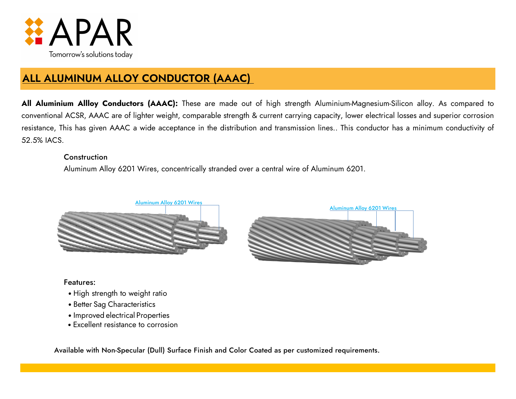

# **ALL ALUMINUM ALLOY CONDUCTOR (AAAC)**

**All Aluminium Allloy Conductors (AAAC):** These are made out of high strength Aluminium-Magnesium-Silicon alloy. As compared to conventional ACSR, AAAC are of lighter weight, comparable strength & current carrying capacity, lower electrical losses and superior corrosion resistance, This has given AAAC a wide acceptance in the distribution and transmission lines.. This conductor has a minimum conductivity of 52.5% IACS.

### Construction

Aluminum Alloy 6201 Wires, concentrically stranded over a central wire of Aluminum 6201.





Features:

- High strength to weight ratio
- Better Sag Characteristics
- Improved electrical Properties
- Excellent resistance to corrosion

Available with Non-Specular (Dull) Surface Finish and Color Coated as per customized requirements.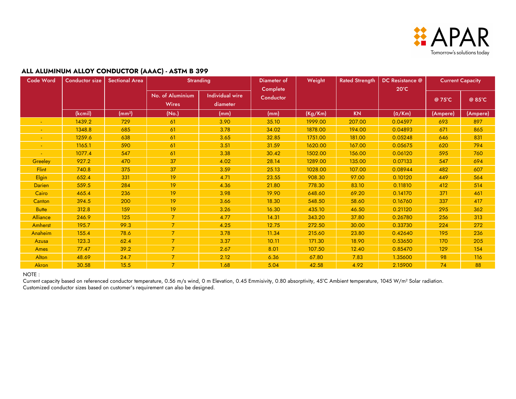

### **ALL ALUMINUM ALLOY CONDUCTOR (AAAC) - ASTM B 399**

| Code Word     | <b>Conductor size</b> | <b>Sectional Area</b> | <b>Stranding</b>                 |                                    | Weight<br>Diameter of<br>Complete |         | <b>Rated Strength</b> | DC Resistance @<br>$20^{\circ}$ C | <b>Current Capacity</b> |          |
|---------------|-----------------------|-----------------------|----------------------------------|------------------------------------|-----------------------------------|---------|-----------------------|-----------------------------------|-------------------------|----------|
|               |                       |                       | No. of Aluminium<br><b>Wires</b> | <b>Individual wire</b><br>diameter | Conductor                         |         |                       |                                   | @ 75°C                  | @ 85°C   |
|               | (kcmil)               | (mm <sup>2</sup> )    | (No.)                            | (mm)                               | (mm)                              | (Kg/Km) | <b>KN</b>             | $(\Omega/Km)$                     | (Ampere)                | (Ampere) |
|               | 1439.2                | 729                   | 61                               | 3.90                               | 35.10                             | 1999.00 | 207.00                | 0.04597                           | 693                     | 897      |
|               | 1348.8                | 685                   | 61                               | 3.78                               | 34.02                             | 1878.00 | 194.00                | 0.04893                           | 671                     | 865      |
|               | 1259.6                | 638                   | 61                               | 3.65                               | 32.85                             | 1751.00 | 181.00                | 0.05248                           | 646                     | 831      |
|               | 1165.1                | 590                   | 61                               | 3.51                               | 31.59                             | 1620.00 | 167.00                | 0.05675                           | 620                     | 794      |
|               | 1077.4                | 547                   | 61                               | 3.38                               | 30.42                             | 1502.00 | 156.00                | 0.06120                           | 595                     | 760      |
| Greeley       | 927.2                 | 470                   | 37                               | 4.02                               | 28.14                             | 1289.00 | 135.00                | 0.07133                           | 547                     | 694      |
| Flint         | 740.8                 | 375                   | 37                               | 3.59                               | 25.13                             | 1028.00 | 107.00                | 0.08944                           | 482                     | 607      |
| <b>Elgin</b>  | 652.4                 | 331                   | 19                               | 4.71                               | 23.55                             | 908.30  | 97.00                 | 0.10120                           | 449                     | 564      |
| <b>Darien</b> | 559.5                 | 284                   | 19                               | 4.36                               | 21.80                             | 778.30  | 83.10                 | 0.11810                           | 412                     | 514      |
| Cairo         | 465.4                 | 236                   | 19                               | 3.98                               | 19.90                             | 648.60  | 69.20                 | 0.14170                           | 371                     | 461      |
| Canton        | 394.5                 | 200                   | 19                               | 3.66                               | 18.30                             | 548.50  | 58.60                 | 0.16760                           | 337                     | 417      |
| <b>Butte</b>  | 312.8                 | 159                   | 19                               | 3.26                               | 16.30                             | 435.10  | 46.50                 | 0.21120                           | 295                     | 362      |
| Alliance      | 246.9                 | 125                   | $\overline{7}$                   | 4.77                               | 14.31                             | 343.20  | 37.80                 | 0.26780                           | 256                     | 313      |
| Amherst       | 195.7                 | 99.3                  | $\overline{7}$                   | 4.25                               | 12.75                             | 272.50  | 30.00                 | 0.33730                           | 224                     | 272      |
| Anaheim       | 155.4                 | 78.6                  | $\overline{7}$                   | 3.78                               | 11.34                             | 215.60  | 23.80                 | 0.42640                           | 195                     | 236      |
| Azusa         | 123.3                 | 62.4                  | $\overline{7}$                   | 3.37                               | 10.11                             | 171.30  | 18.90                 | 0.53650                           | 170                     | 205      |
| Ames          | 77.47                 | 39.2                  | $\overline{7}$                   | 2.67                               | 8.01                              | 107.50  | 12.40                 | 0.85470                           | 129                     | 154      |
| Alton         | 48.69                 | 24.7                  | $\overline{7}$                   | 2.12                               | 6.36                              | 67.80   | 7.83                  | 1.35600                           | 98                      | 116      |
| Akron         | 30.58                 | 15.5                  | $\overline{7}$                   | 1.68                               | 5.04                              | 42.58   | 4.92                  | 2.15900                           | 74                      | 88       |

#### NOTE :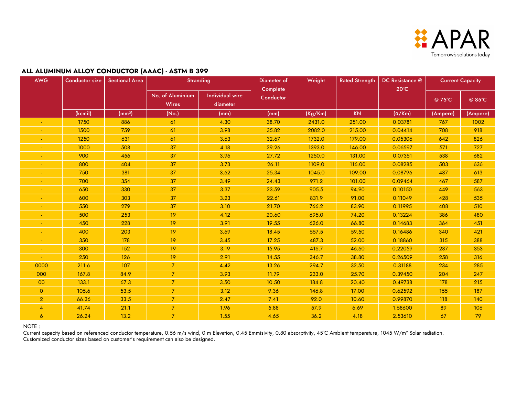

#### **ALL ALUMINUM ALLOY CONDUCTOR (AAAC) - ASTM B 399**

| AWG            | <b>Conductor size</b> | <b>Sectional Area</b> | <b>Stranding</b>                 |                                    | Weight<br>Diameter of<br>Complete |         | <b>Rated Strength</b> | DC Resistance @<br>$20^{\circ}$ C | <b>Current Capacity</b> |          |
|----------------|-----------------------|-----------------------|----------------------------------|------------------------------------|-----------------------------------|---------|-----------------------|-----------------------------------|-------------------------|----------|
|                |                       |                       | No. of Aluminium<br><b>Wires</b> | <b>Individual wire</b><br>diameter | Conductor                         |         |                       |                                   | @ 75°C                  | @ 85°C   |
|                | (kcmil)               | (mm <sup>2</sup> )    | (No.)                            | (mm)                               | (mm)                              | (Kg/Km) | KN                    | $(\Omega/Km)$                     | (Ampere)                | (Ampere) |
|                | 1750                  | 886                   | 61                               | 4.30                               | 38.70                             | 2431.0  | 251.00                | 0.03781                           | 767                     | 1002     |
|                | 1500                  | 759                   | 61                               | 3.98                               | 35.82                             | 2082.0  | 215.00                | 0.04414                           | 708                     | 918      |
|                | 1250                  | 631                   | 61                               | 3.63                               | 32.67                             | 1732.0  | 179.00                | 0.05306                           | 642                     | 826      |
|                | 1000                  | 508                   | 37                               | 4.18                               | 29.26                             | 1393.0  | 146.00                | 0.06597                           | 571                     | 727      |
| $\sim$         | 900                   | 456                   | 37                               | 3.96                               | 27.72                             | 1250.0  | 131.00                | 0.07351                           | 538                     | 682      |
|                | 800                   | 404                   | 37                               | 3.73                               | 26.11                             | 1109.0  | 116.00                | 0.08285                           | 503                     | 636      |
|                | 750                   | 381                   | 37                               | 3.62                               | 25.34                             | 1045.0  | 109.00                | 0.08796                           | 487                     | 613      |
| $\blacksquare$ | 700                   | 354                   | 37                               | 3.49                               | 24.43                             | 971.2   | 101.00                | 0.09464                           | 467                     | 587      |
|                | 650                   | 330                   | 37                               | 3.37                               | 23.59                             | 905.5   | 94.90                 | 0.10150                           | 449                     | 563      |
|                | 600                   | 303                   | 37                               | 3.23                               | 22.61                             | 831.9   | 91.00                 | 0.11049                           | 428                     | 535      |
|                | 550                   | 279                   | 37                               | 3.10                               | 21.70                             | 766.2   | 83.90                 | 0.11995                           | 408                     | 510      |
|                | 500                   | 253                   | 19                               | 4.12                               | 20.60                             | 695.0   | 74.20                 | 0.13224                           | 386                     | 480      |
| $\blacksquare$ | 450                   | 228                   | 19                               | 3.91                               | 19.55                             | 626.0   | 66.80                 | 0.14683                           | 364                     | 451      |
|                | 400                   | 203                   | 19                               | 3.69                               | 18.45                             | 557.5   | 59.50                 | 0.16486                           | 340                     | 421      |
|                | 350                   | 178                   | 19                               | 3.45                               | 17.25                             | 487.3   | 52.00                 | 0.18860                           | 315                     | 388      |
|                | 300                   | 152                   | 19                               | 3.19                               | 15.95                             | 416.7   | 46.60                 | 0.22059                           | 287                     | 353      |
|                | 250                   | 126                   | 19                               | 2.91                               | 14.55                             | 346.7   | 38.80                 | 0.26509                           | 258                     | 316      |
| 0000           | 211.6                 | 107                   | 7 <sup>1</sup>                   | 4.42                               | 13.26                             | 294.7   | 32.50                 | 0.31188                           | 234                     | 285      |
| 000            | 167.8                 | 84.9                  | $\overline{7}$                   | 3.93                               | 11.79                             | 233.0   | 25.70                 | 0.39450                           | 204                     | 247      |
| 00             | 133.1                 | 67.3                  | 7 <sup>1</sup>                   | 3.50                               | 10.50                             | 184.8   | 20.40                 | 0.49738                           | 178                     | 215      |
| $\circ$        | 105.6                 | 53.5                  | $\overline{7}$                   | 3.12                               | 9.36                              | 146.8   | 17.00                 | 0.62592                           | 155                     | 187      |
| $\overline{2}$ | 66.36                 | 33.5                  | $\overline{7}$                   | 2.47                               | 7.41                              | 92.0    | 10.60                 | 0.99870                           | 118                     | 140      |
| $\overline{4}$ | 41.74                 | 21.1                  | $\mathcal{I}$                    | 1.96                               | 5.88                              | 57.9    | 6.69                  | 1.58600                           | 89                      | 106      |
| $\overline{6}$ | 26.24                 | 13.2                  | 7 <sup>1</sup>                   | 1.55                               | 4.65                              | 36.2    | 4.18                  | 2.53610                           | 67                      | 79       |

NOTE :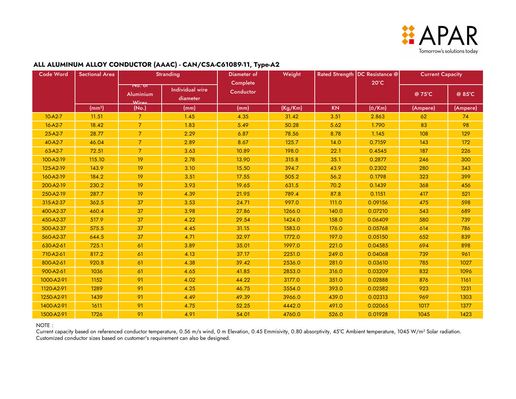

| <b>Code Word</b> | <b>Sectional Area</b> | <b>Stranding</b>                               |                                    | Diameter of           | Weight  |           | Rated Strength DC Resistance @ | <b>Current Capacity</b> |          |
|------------------|-----------------------|------------------------------------------------|------------------------------------|-----------------------|---------|-----------|--------------------------------|-------------------------|----------|
|                  |                       | $\overline{N}$ or<br><b>Aluminium</b><br>Wires | <b>Individual wire</b><br>diameter | Complete<br>Conductor |         |           | $20^{\circ}$ C                 | @75°C                   | @ 85°C   |
|                  | (mm <sup>2</sup> )    | (No.)                                          | (mm)                               | (mm)                  | (Kg/Km) | <b>KN</b> | $(\Omega/Km)$                  | (Ampere)                | (Ampere) |
| $10-A2-7$        | 11.51                 | $\overline{7}$                                 | 1.45                               | 4.35                  | 31.42   | 3.51      | 2.863                          | 62                      | 74       |
| $16 - A2 - 7$    | 18.42                 | $\overline{7}$                                 | 1.83                               | 5.49                  | 50.28   | 5.62      | 1.790                          | 83                      | 98       |
| $25-A2-7$        | 28.77                 | 7 <sup>1</sup>                                 | 2.29                               | 6.87                  | 78.56   | 8.78      | 1.145                          | 108                     | 129      |
| 40-A2-7          | 46.04                 | $\overline{7}$                                 | 2.89                               | 8.67                  | 125.7   | 14.0      | 0.7159                         | 143                     | 172      |
| 63-A2-7          | 72.51                 | $\overline{7}$                                 | 3.63                               | 10.89                 | 198.0   | 22.1      | 0.4545                         | 187                     | 226      |
| 100-A2-19        | 115.10                | 19                                             | 2.78                               | 13.90                 | 315.8   | 35.1      | 0.2877                         | 246                     | 300      |
| 125-A2-19        | 143.9                 | 19                                             | 3.10                               | 15.50                 | 394.7   | 43.9      | 0.2302                         | 280                     | 343      |
| 160-A2-19        | 184.2                 | 19                                             | 3.51                               | 17.55                 | 505.2   | 56.2      | 0.1798                         | 323                     | 399      |
| 200-A2-19        | 230.2                 | 19                                             | 3.93                               | 19.65                 | 631.5   | 70.2      | 0.1439                         | 368                     | 456      |
| 250-A2-19        | 287.7                 | 19                                             | 4.39                               | 21.95                 | 789.4   | 87.8      | 0.1151                         | 417                     | 521      |
| 315-A2-37        | 362.5                 | 37                                             | 3.53                               | 24.71                 | 997.0   | 111.0     | 0.09156                        | 475                     | 598      |
| 400-A2-37        | 460.4                 | 37                                             | 3.98                               | 27.86                 | 1266.0  | 140.0     | 0.07210                        | 543                     | 689      |
| 450-A2-37        | 517.9                 | 37                                             | 4.22                               | 29.54                 | 1424.0  | 158.0     | 0.06409                        | 580                     | 739      |
| 500-A2-37        | 575.5                 | 37                                             | 4.45                               | 31.15                 | 1583.0  | 176.0     | 0.05768                        | 614                     | 786      |
| 560-A2-37        | 644.5                 | 37                                             | 4.71                               | 32.97                 | 1772.0  | 197.0     | 0.05150                        | 652                     | 839      |
| 630-A2-61        | 725.1                 | 61                                             | 3.89                               | 35.01                 | 1997.0  | 221.0     | 0.04585                        | 694                     | 898      |
| 710-A2-61        | 817.2                 | 61                                             | 4.13                               | 37.17                 | 2251.0  | 249.0     | 0.04068                        | 739                     | 961      |
| 800-A2-61        | 920.8                 | 61                                             | 4.38                               | 39.42                 | 2536.0  | 281.0     | 0.03610                        | 785                     | 1027     |
| 900-A2-61        | 1036                  | 61                                             | 4.65                               | 41.85                 | 2853.0  | 316.0     | 0.03209                        | 832                     | 1096     |
| 1000-A2-91       | 1152                  | 91                                             | 4.02                               | 44.22                 | 3177.0  | 351.0     | 0.02888                        | 876                     | 1161     |
| 1120-A2-91       | 1289                  | 91                                             | 4.25                               | 46.75                 | 3554.0  | 393.0     | 0.02582                        | 923                     | 1231     |
| 1250-A2-91       | 1439                  | 91                                             | 4.49                               | 49.39                 | 3966.0  | 439.0     | 0.02313                        | 969                     | 1303     |
| 1400-A2-91       | 1611                  | 91                                             | 4.75                               | 52.25                 | 4442.0  | 491.0     | 0.02065                        | 1017                    | 1377     |
| 1500-A2-91       | 1726                  | 91                                             | 4.91                               | 54.01                 | 4760.0  | 526.0     | 0.01928                        | 1045                    | 1423     |

#### NOTE :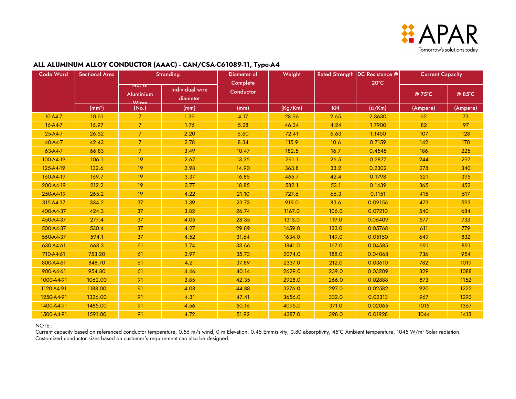

| <b>Code Word</b> | <b>Sectional Area</b> | <b>Stranding</b>                                             |                                    | Diameter of           | Weight  |           | Rated Strength   DC Resistance @ | <b>Current Capacity</b> |          |
|------------------|-----------------------|--------------------------------------------------------------|------------------------------------|-----------------------|---------|-----------|----------------------------------|-------------------------|----------|
|                  |                       | $\overline{\mathsf{no. \, or}}$<br><b>Aluminium</b><br>Wires | <b>Individual wire</b><br>diameter | Complete<br>Conductor |         |           | $20^{\circ}$ C                   | @ 75°C                  | @ 85°C   |
|                  | (mm <sup>2</sup> )    | (No.)                                                        | (mm)                               | (mm)                  | (Kg/Km) | <b>KN</b> | $(\Omega/Km)$                    | (Ampere)                | (Ampere) |
| $10-A4-7$        | 10.61                 | $\overline{7}$                                               | 1.39                               | 4.17                  | 28.96   | 2.65      | 2.8630                           | 62                      | 73       |
| 16-A4-7          | 16.97                 | $\overline{7}$                                               | 1.76                               | 5.28                  | 46.34   | 4.24      | 1.7900                           | 82                      | 97       |
| 25-A4-7          | 26.52                 | 7 <sup>1</sup>                                               | 2.20                               | 6.60                  | 72.41   | 6.63      | 1.1450                           | 107                     | 128      |
| 40-A4-7          | 42.43                 | 7 <sup>1</sup>                                               | 2.78                               | 8.34                  | 115.9   | 10.6      | 0.7159                           | 142                     | 170      |
| 63-A4-7          | 66.83                 | $7^{\circ}$                                                  | 3.49                               | 10.47                 | 182.5   | 16.7      | 0.4545                           | 186                     | 225      |
| 100-A4-19        | 106.1                 | 19                                                           | 2.67                               | 13.35                 | 291.1   | 26.5      | 0.2877                           | 244                     | 297      |
| 125-A4-19        | 132.6                 | 19                                                           | 2.98                               | 14.90                 | 363.8   | 33.2      | 0.2302                           | 278                     | 340      |
| 160-A4-19        | 169.7                 | 19                                                           | 3.37                               | 16.85                 | 465.7   | 42.4      | 0.1798                           | 321                     | 395      |
| 200-A4-19        | 212.2                 | 19                                                           | 3.77                               | 18.85                 | 582.1   | 53.1      | 0.1439                           | 365                     | 452      |
| 250-A4-19        | 265.2                 | 19                                                           | 4.22                               | 21.10                 | 727.6   | 66.3      | 0.1151                           | 415                     | 517      |
| 315-A4-37        | 334.2                 | 37                                                           | 3.39                               | 23.73                 | 919.0   | 83.6      | 0.09156                          | 473                     | 593      |
| 400-A4-37        | 424.3                 | 37                                                           | 3.82                               | 26.74                 | 1167.0  | 106.0     | 0.07210                          | 540                     | 684      |
| 450-A4-37        | 277.4                 | 37                                                           | 4.05                               | 28.35                 | 1313.0  | 119.0     | 0.06409                          | 577                     | 733      |
| 500-A4-37        | 530.4                 | 37                                                           | 4.27                               | 29.89                 | 1459.0  | 133.0     | 0.05768                          | 611                     | 779      |
| 560-A4-37        | 594.1                 | 37                                                           | 4.52                               | 31.64                 | 1634.0  | 149.0     | 0.05150                          | 649                     | 832      |
| 630-A4-61        | 668.3                 | 61                                                           | 3.74                               | 33.66                 | 1841.0  | 167.0     | 0.04585                          | 691                     | 891      |
| 710-A4-61        | 753.20                | 61                                                           | 3.97                               | 35.73                 | 2074.0  | 188.0     | 0.04068                          | 736                     | 954      |
| 800-A4-61        | 848.70                | 61                                                           | 4.21                               | 37.89                 | 2337.0  | 212.0     | 0.03610                          | 782                     | 1019     |
| 900-A4-61        | 954.80                | 61                                                           | 4.46                               | 40.14                 | 2629.0  | 239.0     | 0.03209                          | 829                     | 1088     |
| 1000-A4-91       | 1062.00               | 91                                                           | 3.85                               | 42.35                 | 2928.0  | 266.0     | 0.02888                          | 873                     | 1152     |
| 1120-A4-91       | 1188.00               | 91                                                           | 4.08                               | 44.88                 | 3276.0  | 297.0     | 0.02582                          | 920                     | 1222     |
| 1250-A4-91       | 1326.00               | 91                                                           | 4.31                               | 47.41                 | 3656.0  | 332.0     | 0.02313                          | 967                     | 1293     |
| 1400-A4-91       | 1485.00               | 91                                                           | 4.56                               | 50.16                 | 4095.0  | 371.0     | 0.02065                          | 1015                    | 1367     |
| 1500-A4-91       | 1591.00               | 91                                                           | 4.72                               | 51.92                 | 4387.0  | 398.0     | 0.01928                          | 1044                    | 1413     |

#### NOTE :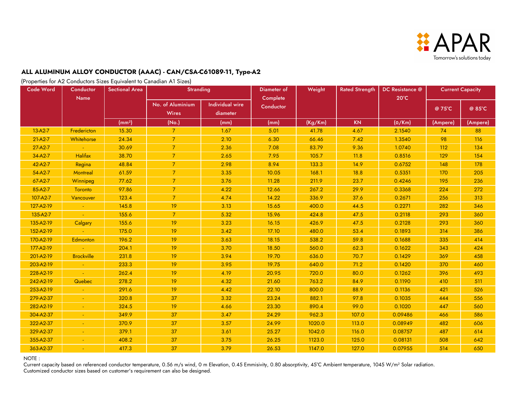

(Properties for A2 Conductors Sizes Equivalent to Canadian A1 Sizes)

| Code Word | Conductor         | <b>Sectional Area</b> | <b>Stranding</b>                 |                                    | Diameter of           | Weight  | <b>Rated Strength</b> | DC Resistance @ | <b>Current Capacity</b> |          |
|-----------|-------------------|-----------------------|----------------------------------|------------------------------------|-----------------------|---------|-----------------------|-----------------|-------------------------|----------|
|           | Name              |                       | No. of Aluminium<br><b>Wires</b> | <b>Individual wire</b><br>diameter | Complete<br>Conductor |         |                       | $20^{\circ}$ C  | @ 75°C                  | @ 85°C   |
|           |                   | (mm <sup>2</sup> )    | (No.)                            | (mm)                               | (mm)                  | (Kg/Km) | <b>KN</b>             | $(\Omega/Km)$   | (Ampere)                | (Ampere) |
| $13-A2-7$ | Fredericton       | 15.30                 | $\overline{7}$                   | 1.67                               | 5.01                  | 41.78   | 4.67                  | 2.1540          | 74                      | 88       |
| $21-A2-7$ | Whitehorse        | 24.34                 | 7 <sup>1</sup>                   | 2.10                               | 6.30                  | 66.46   | 7.42                  | 1.3540          | 98                      | 116      |
| $27-A2-7$ |                   | 30.69                 | 7 <sup>1</sup>                   | 2.36                               | 7.08                  | 83.79   | 9.36                  | 1.0740          | 112                     | 134      |
| 34-A2-7   | <b>Halifax</b>    | 38.70                 | $\overline{7}$                   | 2.65                               | 7.95                  | 105.7   | 11.8                  | 0.8516          | 129                     | 154      |
| 42-A2-7   | Regina            | 48.84                 | 7 <sup>1</sup>                   | 2.98                               | 8.94                  | 133.3   | 14.9                  | 0.6752          | 148                     | 178      |
| 54-A2-7   | <b>Montreal</b>   | 61.59                 | $\overline{7}$                   | 3.35                               | 10.05                 | 168.1   | 18.8                  | 0.5351          | 170                     | 205      |
| 67-A2-7   | Winnipeg          | 77.62                 | $\overline{7}$                   | 3.76                               | 11.28                 | 211.9   | 23.7                  | 0.4246          | 195                     | 236      |
| 85-A2-7   | Toronto           | 97.86                 | $\mathcal{I}$                    | 4.22                               | 12.66                 | 267.2   | 29.9                  | 0.3368          | 224                     | 272      |
| 107-A2-7  | Vancouver         | 123.4                 | $\overline{7}$                   | 4.74                               | 14.22                 | 336.9   | 37.6                  | 0.2671          | 256                     | 313      |
| 127-A2-19 |                   | 145.8                 | 19                               | 3.13                               | 15.65                 | 400.0   | 44.5                  | 0.2271          | 282                     | 346      |
| 135-A2-7  |                   | 155.6                 | $\overline{7}$                   | 5.32                               | 15.96                 | 424.8   | 47.5                  | 0.2118          | 293                     | 360      |
| 135-A2-19 | Calgary           | 155.6                 | 19                               | 3.23                               | 16.15                 | 426.9   | 47.5                  | 0.2128          | 293                     | 360      |
| 152-A2-19 |                   | 175.0                 | 19                               | 3.42                               | 17.10                 | 480.0   | 53.4                  | 0.1893          | 314                     | 386      |
| 170-A2-19 | Edmonton          | 196.2                 | 19                               | 3.63                               | 18.15                 | 538.2   | 59.8                  | 0.1688          | 335                     | 414      |
| 177-A2-19 |                   | 204.1                 | 19                               | 3.70                               | 18.50                 | 560.0   | 62.3                  | 0.1622          | 343                     | 424      |
| 201-A2-19 | <b>Brockville</b> | 231.8                 | 19                               | 3.94                               | 19.70                 | 636.0   | 70.7                  | 0.1429          | 369                     | 458      |
| 203-A2-19 |                   | 233.3                 | 19                               | 3.95                               | 19.75                 | 640.0   | 71.2                  | 0.1420          | 370                     | 460      |
| 228-A2-19 |                   | 262.4                 | 19                               | 4.19                               | 20.95                 | 720.0   | 80.0                  | 0.1262          | 396                     | 493      |
| 242-A2-19 | Quebec            | 278.2                 | 19                               | 4.32                               | 21.60                 | 763.2   | 84.9                  | 0.1190          | 410                     | 511      |
| 253-A2-19 |                   | 291.6                 | 19                               | 4.42                               | 22.10                 | 800.0   | 88.9                  | 0.1136          | 421                     | 526      |
| 279-A2-37 |                   | 320.8                 | 37                               | 3.32                               | 23.24                 | 882.1   | 97.8                  | 0.1035          | 444                     | 556      |
| 282-A2-19 |                   | 324.5                 | 19                               | 4.66                               | 23.30                 | 890.4   | 99.0                  | 0.1020          | 447                     | 560      |
| 304-A2-37 |                   | 349.9                 | 37                               | 3.47                               | 24.29                 | 962.3   | 107.0                 | 0.09486         | 466                     | 586      |
| 322-A2-37 |                   | 370.9                 | 37                               | 3.57                               | 24.99                 | 1020.0  | 113.0                 | 0.08949         | 482                     | 606      |
| 329-A2-37 |                   | 379.1                 | 37                               | 3.61                               | 25.27                 | 1042.0  | 116.0                 | 0.08757         | 487                     | 614      |
| 355-A2-37 |                   | 408.2                 | 37                               | 3.75                               | 26.25                 | 1123.0  | 125.0                 | 0.08131         | 508                     | 642      |
| 363-A2-37 |                   | 417.3                 | 37                               | 3.79                               | 26.53                 | 1147.0  | 127.0                 | 0.07955         | 514                     | 650      |

NOTE :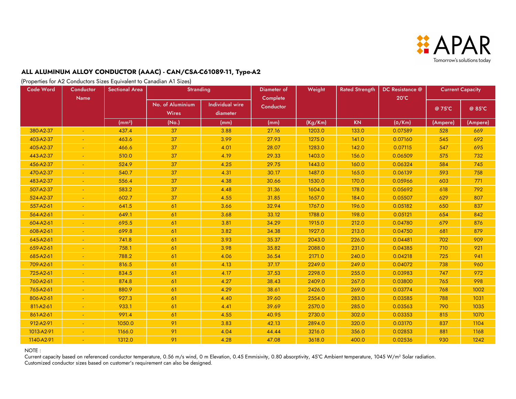

(Properties for A2 Conductors Sizes Equivalent to Canadian A1 Sizes)

| Code Word  | Conductor<br>Name | <b>Sectional Area</b> | <b>Stranding</b>                 |                                    | Diameter of<br>Complete | Weight  | <b>Rated Strength</b> | DC Resistance @<br>$20^{\circ}$ C | <b>Current Capacity</b> |          |
|------------|-------------------|-----------------------|----------------------------------|------------------------------------|-------------------------|---------|-----------------------|-----------------------------------|-------------------------|----------|
|            |                   |                       | No. of Aluminium<br><b>Wires</b> | <b>Individual wire</b><br>diameter | Conductor               |         |                       |                                   | @ 75°C                  | @ 85°C   |
|            |                   | (mm <sup>2</sup> )    | (No.)                            | (mm)                               | (mm)                    | (Kg/Km) | <b>KN</b>             | $(\Omega/Km)$                     | (Ampere)                | (Ampere) |
| 380-A2-37  |                   | 437.4                 | 37                               | 3.88                               | 27.16                   | 1203.0  | 133.0                 | 0.07589                           | 528                     | 669      |
| 403-A2-37  |                   | 463.6                 | 37                               | 3.99                               | 27.93                   | 1275.0  | 141.0                 | 0.07160                           | 545                     | 692      |
| 405-A2-37  |                   | 466.6                 | 37                               | 4.01                               | 28.07                   | 1283.0  | 142.0                 | 0.07115                           | 547                     | 695      |
| 443-A2-37  |                   | 510.0                 | 37                               | 4.19                               | 29.33                   | 1403.0  | 156.0                 | 0.06509                           | 575                     | 732      |
| 456-A2-37  |                   | 524.9                 | 37                               | 4.25                               | 29.75                   | 1443.0  | 160.0                 | 0.06324                           | 584                     | 745      |
| 470-A2-37  |                   | 540.7                 | 37                               | 4.31                               | 30.17                   | 1487.0  | 165.0                 | 0.06139                           | 593                     | 758      |
| 483-A2-37  |                   | 556.4                 | 37                               | 4.38                               | 30.66                   | 1530.0  | 170.0                 | 0.05966                           | 603                     | 771      |
| 507-A2-37  |                   | 583.2                 | 37                               | 4.48                               | 31.36                   | 1604.0  | 178.0                 | 0.05692                           | 618                     | 792      |
| 524-A2-37  |                   | 602.7                 | 37                               | 4.55                               | 31.85                   | 1657.0  | 184.0                 | 0.05507                           | 629                     | 807      |
| 557-A2-61  |                   | 641.5                 | 61                               | 3.66                               | 32.94                   | 1767.0  | 196.0                 | 0.05182                           | 650                     | 837      |
| 564-A2-61  |                   | 649.1                 | 61                               | 3.68                               | 33.12                   | 1788.0  | 198.0                 | 0.05121                           | 654                     | 842      |
| 604-A2-61  |                   | 695.5                 | 61                               | 3.81                               | 34.29                   | 1915.0  | 212.0                 | 0.04780                           | 679                     | 876      |
| 608-A2-61  |                   | 699.8                 | 61                               | 3.82                               | 34.38                   | 1927.0  | 213.0                 | 0.04750                           | 681                     | 879      |
| 645-A2-61  |                   | 741.8                 | 61                               | 3.93                               | 35.37                   | 2043.0  | 226.0                 | 0.04481                           | 702                     | 909      |
| 659-A2-61  |                   | 758.1                 | 61                               | 3.98                               | 35.82                   | 2088.0  | 231.0                 | 0.04385                           | 710                     | 921      |
| 685-A2-61  |                   | 788.2                 | 61                               | 4.06                               | 36.54                   | 2171.0  | 240.0                 | 0.04218                           | 725                     | 941      |
| 709-A2-61  |                   | 816.5                 | 61                               | 4.13                               | 37.17                   | 2249.0  | 249.0                 | 0.04072                           | 738                     | 960      |
| 725-A2-61  |                   | 834.5                 | 61                               | 4.17                               | 37.53                   | 2298.0  | 255.0                 | 0.03983                           | 747                     | 972      |
| 760-A2-61  |                   | 874.8                 | 61                               | 4.27                               | 38.43                   | 2409.0  | 267.0                 | 0.03800                           | 765                     | 998      |
| 765-A2-61  |                   | 880.9                 | 61                               | 4.29                               | 38.61                   | 2426.0  | 269.0                 | 0.03774                           | 768                     | 1002     |
| 806-A2-61  |                   | 927.3                 | 61                               | 4.40                               | 39.60                   | 2554.0  | 283.0                 | 0.03585                           | 788                     | 1031     |
| 811-A2-61  |                   | 933.1                 | 61                               | 4.41                               | 39.69                   | 2570.0  | 285.0                 | 0.03563                           | 790                     | 1035     |
| 861-A2-61  |                   | 991.4                 | 61                               | 4.55                               | 40.95                   | 2730.0  | 302.0                 | 0.03353                           | 815                     | 1070     |
| 912-A2-91  |                   | 1050.0                | 91                               | 3.83                               | 42.13                   | 2894.0  | 320.0                 | 0.03170                           | 837                     | 1104     |
| 1013-A2-91 |                   | 1166.0                | 91                               | 4.04                               | 44.44                   | 3216.0  | 356.0                 | 0.02853                           | 881                     | 1168     |
| 1140-A2-91 |                   | 1312.0                | 91                               | 4.28                               | 47.08                   | 3618.0  | 400.0                 | 0.02536                           | 930                     | 1242     |

NOTE :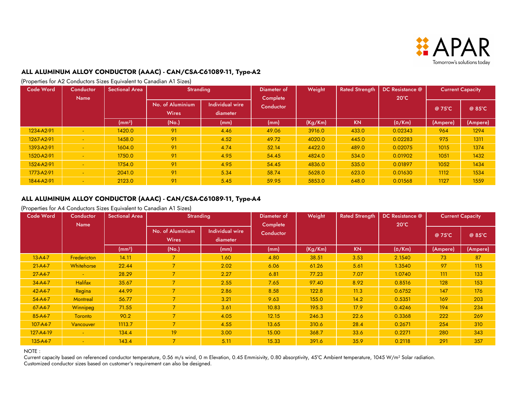

(Properties for A2 Conductors Sizes Equivalent to Canadian A1 Sizes)

| Code Word  | Conductor<br><b>Name</b> | <b>Sectional Area</b> | Stranding                        |                                    | Diameter of<br>Complete | Weight  | <b>Rated Strength</b> | DC Resistance @<br>$20^{\circ}$ C | <b>Current Capacity</b> |          |
|------------|--------------------------|-----------------------|----------------------------------|------------------------------------|-------------------------|---------|-----------------------|-----------------------------------|-------------------------|----------|
|            |                          |                       | No. of Aluminium<br><b>Wires</b> | <b>Individual wire</b><br>diameter | Conductor               |         |                       |                                   | @ 75°C                  | @ 85°C   |
|            |                          | (mm <sup>2</sup> )    | (No.)                            | (mm)                               | (mm)                    | (Kg/Km) | <b>KN</b>             | $(\Omega/Km)$                     | (Ampere)                | (Ampere) |
| 1234-A2-91 |                          | 1420.0                | 91                               | 4.46                               | 49.06                   | 3916.0  | 433.0                 | 0.02343                           | 964                     | 1294     |
| 1267-A2-91 |                          | 1458.0                | 91                               | 4.52                               | 49.72                   | 4020.0  | 445.0                 | 0.02283                           | 975                     | 1311     |
| 1393-A2-91 |                          | 1604.0                | 91                               | 4.74                               | 52.14                   | 4422.0  | 489.0                 | 0.02075                           | 1015                    | 1374     |
| 1520-A2-91 |                          | 1750.0                | 91                               | 4.95                               | 54.45                   | 4824.0  | 534.0                 | 0.01902                           | 1051                    | 1432     |
| 1524-A2-91 |                          | 1754.0                | 91                               | 4.95                               | 54.45                   | 4836.0  | 535.0                 | 0.01897                           | 1052                    | 1434     |
| 1773-A2-91 |                          | 2041.0                | 91                               | 5.34                               | 58.74                   | 5628.0  | 623.0                 | 0.01630                           | 1112                    | 1534     |
| 1844-A2-91 |                          | 2123.0                | 91                               | 5.45                               | 59.95                   | 5853.0  | 648.0                 | 0.01568                           | 1127                    | 1559     |

### **ALL ALUMINUM ALLOY CONDUCTOR (AAAC) - CAN/CSA-C61089-11, Type-A4**

(Properties for A4 Conductors Sizes Equivalent to Canadian A1 Sizes)

| <b>Code Word</b> | Conductor      | <b>Sectional Area</b> | <b>Stranding</b>                 |                             | Weight<br>Diameter of |         | <b>Rated Strength</b> | DC Resistance @ | <b>Current Capacity</b> |          |
|------------------|----------------|-----------------------|----------------------------------|-----------------------------|-----------------------|---------|-----------------------|-----------------|-------------------------|----------|
|                  | <b>Name</b>    |                       | No. of Aluminium<br><b>Wires</b> | Individual wire<br>diameter | Complete<br>Conductor |         |                       | $20^{\circ}$ C  | @ 75°C                  | @ 85°C   |
|                  |                | (mm <sup>2</sup> )    | (No.)                            | (mm)                        | (mm)                  | (Kg/Km) | <b>KN</b>             | $(\Omega/Km)$   | (Ampere)                | (Ampere) |
| $13 - A4 - 7$    | Fredericton    | 14.11                 |                                  | 1.60                        | 4.80                  | 38.51   | 3.53                  | 2.1540          | 73                      | 87       |
| $21-A4-7$        | Whitehorse     | 22.44                 | $7^{\circ}$                      | 2.02                        | 6.06                  | 61.26   | 5.61                  | 1.3540          | 97                      | 115      |
| $27-A4-7$        |                | 28.29                 | $\overline{7}$                   | 2.27                        | 6.81                  | 77.23   | 7.07                  | 1.0740          | 111                     | 133      |
| $34 - A4 - 7$    | <b>Halifax</b> | 35.67                 | $7^{\circ}$                      | 2.55                        | 7.65                  | 97.40   | 8.92                  | 0.8516          | 128                     | 153      |
| 42-A4-7          | Regina         | 44.99                 | $\overline{7}$                   | 2.86                        | 8.58                  | 122.8   | 11.3                  | 0.6752          | 147                     | 176      |
| 54-A4-7          | Montreal       | 56.77                 | 7 <sup>1</sup>                   | 3.21                        | 9.63                  | 155.0   | 14.2                  | 0.5351          | 169                     | 203      |
| 67-A4-7          | Winnipeg       | 71.55                 | $\overline{7}$                   | 3.61                        | 10.83                 | 195.3   | 17.9                  | 0.4246          | 194                     | 234      |
| 85-A4-7          | <b>Toronto</b> | 90.2                  | $7^{\circ}$                      | 4.05                        | 12.15                 | 246.3   | 22.6                  | 0.3368          | 222                     | 269      |
| $107 - A4 - 7$   | Vancouver      | 1113.7                | $7^{\circ}$                      | 4.55                        | 13.65                 | 310.6   | 28.4                  | 0.2671          | 254                     | 310      |
| 127-A4-19        |                | 134.4                 | 19                               | 3.00                        | 15.00                 | 368.7   | 33.6                  | 0.2271          | 280                     | 343      |
| $135 - A4 - 7$   |                | 143.4                 | $\overline{7}$                   | 5.11                        | 15.33                 | 391.6   | 35.9                  | 0.2118          | 291                     | 357      |

NOTE :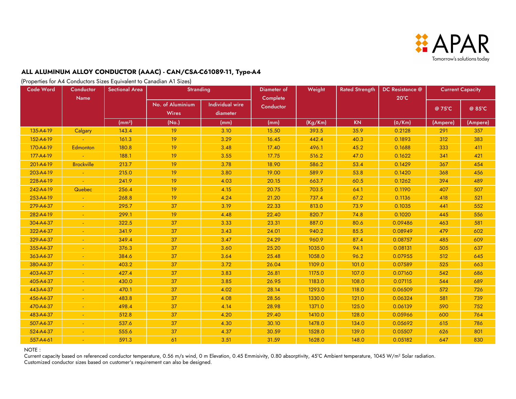

(Properties for A4 Conductors Sizes Equivalent to Canadian A1 Sizes)

| <b>Code Word</b> | Conductor<br><b>Name</b> | <b>Sectional Area</b> | <b>Stranding</b>                 |                                    | Diameter of<br>Complete | Weight  | <b>Rated Strength</b> | DC Resistance @<br>$20^{\circ}$ C | <b>Current Capacity</b> |          |
|------------------|--------------------------|-----------------------|----------------------------------|------------------------------------|-------------------------|---------|-----------------------|-----------------------------------|-------------------------|----------|
|                  |                          |                       | No. of Aluminium<br><b>Wires</b> | <b>Individual wire</b><br>diameter | Conductor               |         |                       |                                   | @ 75°C                  | @ 85°C   |
|                  |                          | (mm <sup>2</sup> )    | (No.)                            | (mm)                               | (mm)                    | (Kg/Km) | <b>KN</b>             | $(\Omega/Km)$                     | (Ampere)                | (Ampere) |
| 135-A4-19        | Calgary                  | 143.4                 | 19                               | 3.10                               | 15.50                   | 393.5   | 35.9                  | 0.2128                            | 291                     | 357      |
| 152-A4-19        |                          | 161.3                 | 19                               | 3.29                               | 16.45                   | 442.4   | 40.3                  | 0.1893                            | 312                     | 383      |
| 170-A4-19        | Edmonton                 | 180.8                 | 19                               | 3.48                               | 17.40                   | 496.1   | 45.2                  | 0.1688                            | 333                     | 411      |
| 177-A4-19        |                          | 188.1                 | 19                               | 3.55                               | 17.75                   | 516.2   | 47.0                  | 0.1622                            | 341                     | 421      |
| 201-A4-19        | <b>Brockville</b>        | 213.7                 | 19                               | 3.78                               | 18.90                   | 586.2   | 53.4                  | 0.1429                            | 367                     | 454      |
| 203-A4-19        |                          | 215.0                 | 19                               | 3.80                               | 19.00                   | 589.9   | 53.8                  | 0.1420                            | 368                     | 456      |
| 228-A4-19        |                          | 241.9                 | 19                               | 4.03                               | 20.15                   | 663.7   | 60.5                  | 0.1262                            | 394                     | 489      |
| 242-A4-19        | Quebec                   | 256.4                 | 19                               | 4.15                               | 20.75                   | 703.5   | 64.1                  | 0.1190                            | 407                     | 507      |
| 253-A4-19        |                          | 268.8                 | 19                               | 4.24                               | 21.20                   | 737.4   | 67.2                  | 0.1136                            | 418                     | 521      |
| 279-A4-37        |                          | 295.7                 | 37                               | 3.19                               | 22.33                   | 813.0   | 73.9                  | 0.1035                            | 441                     | 552      |
| 282-A4-19        |                          | 299.1                 | 19                               | 4.48                               | 22.40                   | 820.7   | 74.8                  | 0.1020                            | 445                     | 556      |
| 304-A4-37        |                          | 322.5                 | 37                               | 3.33                               | 23.31                   | 887.0   | 80.6                  | 0.09486                           | 463                     | 581      |
| 322-A4-37        |                          | 341.9                 | 37                               | 3.43                               | 24.01                   | 940.2   | 85.5                  | 0.08949                           | 479                     | 602      |
| 329-A4-37        |                          | 349.4                 | 37                               | 3.47                               | 24.29                   | 960.9   | 87.4                  | 0.08757                           | 485                     | 609      |
| 355-A4-37        |                          | 376.3                 | 37                               | 3.60                               | 25.20                   | 1035.0  | 94.1                  | 0.08131                           | 505                     | 637      |
| 363-A4-37        |                          | 384.6                 | 37                               | 3.64                               | 25.48                   | 1058.0  | 96.2                  | 0.07955                           | 512                     | 645      |
| 380-A4-37        |                          | 403.2                 | 37                               | 3.72                               | 26.04                   | 1109.0  | 101.0                 | 0.07589                           | 525                     | 663      |
| 403-A4-37        |                          | 427.4                 | 37                               | 3.83                               | 26.81                   | 1175.0  | 107.0                 | 0.07160                           | 542                     | 686      |
| 405-A4-37        |                          | 430.0                 | 37                               | 3.85                               | 26.95                   | 1183.0  | 108.0                 | 0.07115                           | 544                     | 689      |
| 443-A4-37        |                          | 470.1                 | 37                               | 4.02                               | 28.14                   | 1293.0  | 118.0                 | 0.06509                           | 572                     | 726      |
| 456-A4-37        |                          | 483.8                 | 37                               | 4.08                               | 28.56                   | 1330.0  | 121.0                 | 0.06324                           | 581                     | 739      |
| 470-A4-37        |                          | 498.4                 | 37                               | 4.14                               | 28.98                   | 1371.0  | 125.0                 | 0.06139                           | 590                     | 752      |
| 483-A4-37        |                          | 512.8                 | 37                               | 4.20                               | 29.40                   | 1410.0  | 128.0                 | 0.05966                           | 600                     | 764      |
| 507-A4-37        |                          | 537.6                 | 37                               | 4.30                               | 30.10                   | 1478.0  | 134.0                 | 0.05692                           | 615                     | 786      |
| 524-A4-37        |                          | 555.6                 | 37                               | 4.37                               | 30.59                   | 1528.0  | 139.0                 | 0.05507                           | 626                     | 801      |
| 557-A4-61        |                          | 591.3                 | 61                               | 3.51                               | 31.59                   | 1628.0  | 148.0                 | 0.05182                           | 647                     | 830      |

NOTE :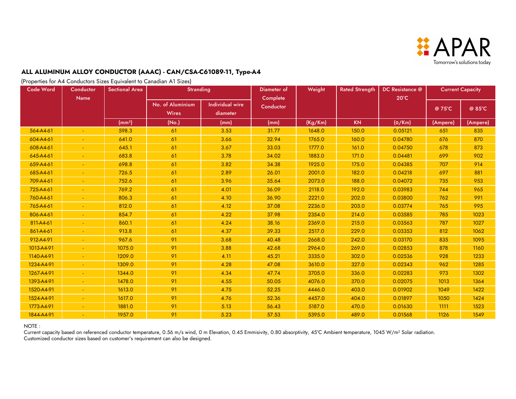

(Properties for A4 Conductors Sizes Equivalent to Canadian A1 Sizes)

| Code Word  | Conductor<br><b>Name</b> | <b>Sectional Area</b> | <b>Stranding</b>                 |                                    | Diameter of<br>Complete | Weight  | <b>Rated Strength</b> | DC Resistance @<br>$20^{\circ}$ C | <b>Current Capacity</b> |          |
|------------|--------------------------|-----------------------|----------------------------------|------------------------------------|-------------------------|---------|-----------------------|-----------------------------------|-------------------------|----------|
|            |                          |                       | No. of Aluminium<br><b>Wires</b> | <b>Individual wire</b><br>diameter | Conductor               |         |                       |                                   | @ 75°C                  | @ 85°C   |
|            |                          | (mm <sup>2</sup> )    | (No.)                            | (mm)                               | (mm)                    | (Kg/Km) | <b>KN</b>             | $(\Omega/Km)$                     | (Ampere)                | (Ampere) |
| 564-A4-61  |                          | 598.3                 | 61                               | 3.53                               | 31.77                   | 1648.0  | 150.0                 | 0.05121                           | 651                     | 835      |
| 604-A4-61  |                          | 641.0                 | 61                               | 3.66                               | 32.94                   | 1765.0  | 160.0                 | 0.04780                           | 676                     | 870      |
| 608-A4-61  |                          | 645.1                 | 61                               | 3.67                               | 33.03                   | 1777.0  | 161.0                 | 0.04750                           | 678                     | 873      |
| 645-A4-61  |                          | 683.8                 | 61                               | 3.78                               | 34.02                   | 1883.0  | 171.0                 | 0.04481                           | 699                     | 902      |
| 659-A4-61  |                          | 698.8                 | 61                               | 3.82                               | 34.38                   | 1925.0  | 175.0                 | 0.04385                           | 707                     | 914      |
| 685-A4-61  |                          | 726.5                 | 61                               | 2.89                               | 26.01                   | 2001.0  | 182.0                 | 0.04218                           | 697                     | 881      |
| 709-A4-61  |                          | 752.6                 | 61                               | 3.96                               | 35.64                   | 2073.0  | 188.0                 | 0.04072                           | 735                     | 953      |
| 725-A4-61  |                          | 769.2                 | 61                               | 4.01                               | 36.09                   | 2118.0  | 192.0                 | 0.03983                           | 744                     | 965      |
| 760-A4-61  |                          | 806.3                 | 61                               | 4.10                               | 36.90                   | 2221.0  | 202.0                 | 0.03800                           | 762                     | 991      |
| 765-A4-61  |                          | 812.0                 | 61                               | 4.12                               | 37.08                   | 2236.0  | 203.0                 | 0.03774                           | 765                     | 995      |
| 806-A4-61  |                          | 854.7                 | 61                               | 4.22                               | 37.98                   | 2354.0  | 214.0                 | 0.03585                           | 785                     | 1023     |
| 811-A4-61  |                          | 860.1                 | 61                               | 4.24                               | 38.16                   | 2369.0  | 215.0                 | 0.03563                           | 787                     | 1027     |
| 861-A4-61  |                          | 913.8                 | 61                               | 4.37                               | 39.33                   | 2517.0  | 229.0                 | 0.03353                           | 812                     | 1062     |
| 912-A4-91  |                          | 967.6                 | 91                               | 3.68                               | 40.48                   | 2668.0  | 242.0                 | 0.03170                           | 835                     | 1095     |
| 1013-A4-91 |                          | 1075.0                | 91                               | 3.88                               | 42.68                   | 2964.0  | 269.0                 | 0.02853                           | 878                     | 1160     |
| 1140-A4-91 |                          | 1209.0                | 91                               | 4.11                               | 45.21                   | 3335.0  | 302.0                 | 0.02536                           | 928                     | 1233     |
| 1234-A4-91 |                          | 1309.0                | 91                               | 4.28                               | 47.08                   | 3610.0  | 327.0                 | 0.02343                           | 962                     | 1285     |
| 1267-A4-91 |                          | 1344.0                | 91                               | 4.34                               | 47.74                   | 3705.0  | 336.0                 | 0.02283                           | 973                     | 1302     |
| 1393-A4-91 |                          | 1478.0                | 91                               | 4.55                               | 50.05                   | 4076.0  | 370.0                 | 0.02075                           | 1013                    | 1364     |
| 1520-A4-91 |                          | 1613.0                | 91                               | 4.75                               | 52.25                   | 4446.0  | 403.0                 | 0.01902                           | 1049                    | 1422     |
| 1524-A4-91 |                          | 1617.0                | 91                               | 4.76                               | 52.36                   | 4457.0  | 404.0                 | 0.01897                           | 1050                    | 1424     |
| 1773-A4-91 |                          | 1881.0                | 91                               | 5.13                               | 56.43                   | 5187.0  | 470.0                 | 0.01630                           | 1111                    | 1523     |
| 1844-A4-91 |                          | 1957.0                | 91                               | 5.23                               | 57.53                   | 5395.0  | 489.0                 | 0.01568                           | 1126                    | 1549     |

#### NOTE :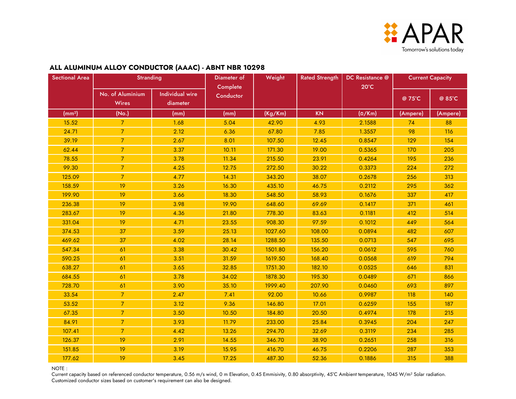

#### No. of Aluminium **Wires** Individual wire diameter @ 75°C @ 85°C (mm²) (No.) (mm) (mm) (Kg/Km) KN (Ω/Km) (Ampere) (Ampere) 15.52 7 1.68 5.04 42.90 4.93 2.1588 74 88 24.71 | 7 | 2.12 | 6.36 | 67.80 | 7.85 | 1.3557 | 98 | 116 39.19 7 2.67 8.01 107.50 12.45 0.8547 129 154 62.44 7 3.37 10.11 171.30 19.00 0.5365 170 205 78.55 7 3.78 11.34 215.50 23.91 0.4264 195 236 99.30 7 4.25 12.75 272.50 30.22 0.3373 224 272 125.09 | 7 | 4.77 | 14.31 | 343.20 | 38.07 | 0.2678 | 256 | 313 158.59 | 19 | 3.26 | 16.30 | 435.10 | 46.75 | 0.2112 | 295 | 362 199.90 | 19 | 3.66 | 18.30 | 548.50 | 58.93 | 0.1676 | 337 | 417 236.38 | 19 | 3.98 | 19.90 | 648.60 | 69.69 | 0.1417 | 371 | 461 283.67 19 4.36 21.80 778.30 83.63 0.1181 412 514 331.04 19 4.71 23.55 908.30 97.59 0.1012 449 564 374.53 | 37 | 3.59 | 25.13 | 1027.60 | 108.00 | 0.0894 | 482 | 607 469.62 | 37 | 4.02 | 28.14 | 1288.50 | 135.50 | 0.0713 | 547 | 695 547.34 | 61 | 3.38 | 30.42 | 1501.80 | 156.20 | 0.0612 | 595 | 760 590.25 | 61 | 3.51 | 31.59 | 1619.50 | 168.40 | 0.0568 | 619 | 794 638.27 | 61 | 3.65 | 32.85 | 1751.30 | 182.10 | 0.0525 | 646 | 831 684.55 | 61 | 3.78 | 34.02 | 1878.30 | 195.30 | 0.0489 | 671 | 866 728.70 | 61 | 3.90 | 35.10 | 1999.40 | 207.90 | 0.0460 | 693 | 897 33.54 7 2.47 7.41 92.00 10.66 0.9987 118 140 53.52 | 7 | 3.12 | 9.36 | 146.80 | 17.01 | 0.6259 | 155 | 187 67.35 7 3.50 10.50 184.80 20.50 0.4974 178 215 84.91 7 3.93 11.79 233.00 25.84 0.3945 204 247 107.41 7 4.42 13.26 294.70 32.69 0.3119 234 285 126.37 | 19 | 2.91 | 14.55 | 346.70 | 38.90 | 0.2651 | 258 | 316 151.85 19 3.19 15.95 416.70 46.75 0.2206 287 353 177.62 19 3.45 17.25 487.30 52.36 0.1886 315 388 Rated Strength | DC Resistance @ 20°C Sectional Area | Stranding | Diameter of | Weight | Rated Strength | DC Resistance @ | Current Capacity | Current Capacity **Complete Conductor Weight**

#### **ALL ALUMINUM ALLOY CONDUCTOR (AAAC) - ABNT NBR 10298**

NOTE :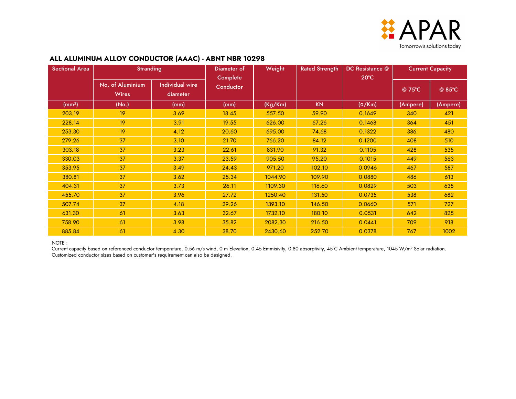

### **ALL ALUMINUM ALLOY CONDUCTOR (AAAC) - ABNT NBR 10298**

| <b>Sectional Area</b> | <b>Stranding</b>                 |                                    | Diameter of<br>Complete | Weight  | <b>Rated Strength</b> | DC Resistance @<br>$20^{\circ}$ C |          | <b>Current Capacity</b> |
|-----------------------|----------------------------------|------------------------------------|-------------------------|---------|-----------------------|-----------------------------------|----------|-------------------------|
|                       | No. of Aluminium<br><b>Wires</b> | <b>Individual wire</b><br>diameter | Conductor               |         |                       |                                   | @ 75°C   | @ 85°C                  |
| (mm <sup>2</sup> )    | (No.)                            | (mm)                               | (mm)                    | (Kg/Km) | <b>KN</b>             | $(\Omega/Km)$                     | (Ampere) | (Ampere)                |
| 203.19                | 19                               | 3.69                               | 18.45                   | 557.50  | 59.90                 | 0.1649                            | 340      | 421                     |
| 228.14                | 19                               | 3.91                               | 19.55                   | 626.00  | 67.26                 | 0.1468                            | 364      | 451                     |
| 253.30                | 19                               | 4.12                               | 20.60                   | 695.00  | 74.68                 | 0.1322                            | 386      | 480                     |
| 279.26                | 37                               | 3.10                               | 21.70                   | 766.20  | 84.12                 | 0.1200                            | 408      | 510                     |
| 303.18                | 37                               | 3.23                               | 22.61                   | 831.90  | 91.32                 | 0.1105                            | 428      | 535                     |
| 330.03                | 37                               | 3.37                               | 23.59                   | 905.50  | 95.20                 | 0.1015                            | 449      | 563                     |
| 353.95                | 37                               | 3.49                               | 24.43                   | 971.20  | 102.10                | 0.0946                            | 467      | 587                     |
| 380.81                | 37                               | 3.62                               | 25.34                   | 1044.90 | 109.90                | 0.0880                            | 486      | 613                     |
| 404.31                | 37                               | 3.73                               | 26.11                   | 1109.30 | 116.60                | 0.0829                            | 503      | 635                     |
| 455.70                | 37                               | 3.96                               | 27.72                   | 1250.40 | 131.50                | 0.0735                            | 538      | 682                     |
| 507.74                | 37                               | 4.18                               | 29.26                   | 1393.10 | 146.50                | 0.0660                            | 571      | 727                     |
| 631.30                | 61                               | 3.63                               | 32.67                   | 1732.10 | 180.10                | 0.0531                            | 642      | 825                     |
| 758.90                | 61                               | 3.98                               | 35.82                   | 2082.30 | 216.50                | 0.0441                            | 709      | 918                     |
| 885.84                | 61                               | 4.30                               | 38.70                   | 2430.60 | 252.70                | 0.0378                            | 767      | 1002                    |

#### NOTE :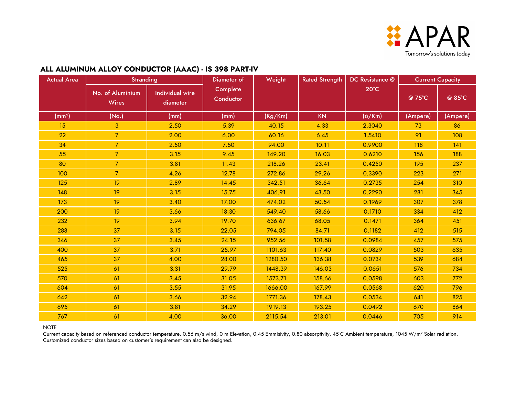

### **ALL ALUMINUM ALLOY CONDUCTOR (AAAC) - IS 398 PART-IV**

| <b>Actual Area</b> | <b>Stranding</b>                 |                                    | Diameter of           | Weight  | <b>Rated Strength</b> | DC Resistance @ | <b>Current Capacity</b> |          |
|--------------------|----------------------------------|------------------------------------|-----------------------|---------|-----------------------|-----------------|-------------------------|----------|
|                    | No. of Aluminium<br><b>Wires</b> | <b>Individual wire</b><br>diameter | Complete<br>Conductor |         |                       | $20^{\circ}$ C  | @ 75°C                  | @ 85°C   |
| (mm <sup>2</sup> ) | (No.)                            | (mm)                               | (mm)                  | (Kg/Km) | <b>KN</b>             | $(\Omega/Km)$   | (Ampere)                | (Ampere) |
| 15                 | 3                                | 2.50                               | 5.39                  | 40.15   | 4.33                  | 2.3040          | 73                      | 86       |
| 22                 | $\overline{7}$                   | 2.00                               | 6.00                  | 60.16   | 6.45                  | 1.5410          | 91                      | 108      |
| 34                 | $\overline{7}$                   | 2.50                               | 7.50                  | 94.00   | 10.11                 | 0.9900          | 118                     | 141      |
| 55                 | $\overline{7}$                   | 3.15                               | 9.45                  | 149.20  | 16.03                 | 0.6210          | 156                     | 188      |
| 80                 | $\overline{7}$                   | 3.81                               | 11.43                 | 218.26  | 23.41                 | 0.4250          | 195                     | 237      |
| 100                | $\overline{7}$                   | 4.26                               | 12.78                 | 272.86  | 29.26                 | 0.3390          | 223                     | 271      |
| 125                | 19                               | 2.89                               | 14.45                 | 342.51  | 36.64                 | 0.2735          | 254                     | 310      |
| 148                | 19                               | 3.15                               | 15.75                 | 406.91  | 43.50                 | 0.2290          | 281                     | 345      |
| 173                | 19                               | 3.40                               | 17.00                 | 474.02  | 50.54                 | 0.1969          | 307                     | 378      |
| 200                | 19                               | 3.66                               | 18.30                 | 549.40  | 58.66                 | 0.1710          | 334                     | 412      |
| 232                | 19                               | 3.94                               | 19.70                 | 636.67  | 68.05                 | 0.1471          | 364                     | 451      |
| 288                | 37                               | 3.15                               | 22.05                 | 794.05  | 84.71                 | 0.1182          | 412                     | 515      |
| 346                | 37                               | 3.45                               | 24.15                 | 952.56  | 101.58                | 0.0984          | 457                     | 575      |
| 400                | 37                               | 3.71                               | 25.97                 | 1101.63 | 117.40                | 0.0829          | 503                     | 635      |
| 465                | 37                               | 4.00                               | 28.00                 | 1280.50 | 136.38                | 0.0734          | 539                     | 684      |
| 525                | 61                               | 3.31                               | 29.79                 | 1448.39 | 146.03                | 0.0651          | 576                     | 734      |
| 570                | 61                               | 3.45                               | 31.05                 | 1573.71 | 158.66                | 0.0598          | 603                     | 772      |
| 604                | 61                               | 3.55                               | 31.95                 | 1666.00 | 167.99                | 0.0568          | 620                     | 796      |
| 642                | 61                               | 3.66                               | 32.94                 | 1771.36 | 178.43                | 0.0534          | 641                     | 825      |
| 695                | 61                               | 3.81                               | 34.29                 | 1919.13 | 193.25                | 0.0492          | 670                     | 864      |
| 767                | 61                               | 4.00                               | 36.00                 | 2115.54 | 213.01                | 0.0446          | 705                     | 914      |

NOTE :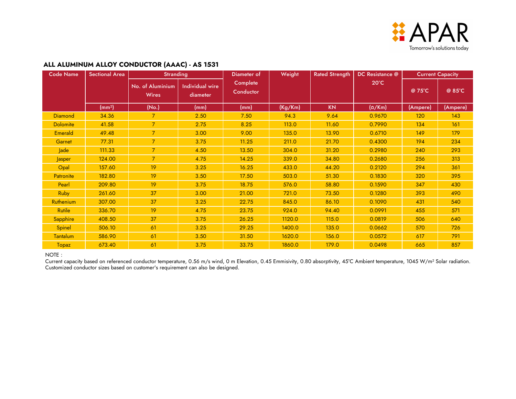

### **ALL ALUMINUM ALLOY CONDUCTOR (AAAC) - AS 1531**

| <b>Code Name</b> | <b>Sectional Area</b> | <b>Stranding</b>                 |                                    | Diameter of           | Weight  | <b>Rated Strength</b> | DC Resistance @ |          | <b>Current Capacity</b> |
|------------------|-----------------------|----------------------------------|------------------------------------|-----------------------|---------|-----------------------|-----------------|----------|-------------------------|
|                  |                       | No. of Aluminium<br><b>Wires</b> | <b>Individual wire</b><br>diameter | Complete<br>Conductor |         |                       | $20^{\circ}$ C  | @ 75°C   | @ 85°C                  |
|                  | (mm <sup>2</sup> )    | (No.)                            | (mm)                               | (mm)                  | (Kg/Km) | <b>KN</b>             | $(\Omega/Km)$   | (Ampere) | (Ampere)                |
| <b>Diamond</b>   | 34.36                 |                                  | 2.50                               | 7.50                  | 94.3    | 9.64                  | 0.9670          | 120      | 143                     |
| <b>Dolomite</b>  | 41.58                 | $\overline{7}$                   | 2.75                               | 8.25                  | 113.0   | 11.60                 | 0.7990          | 134      | 161                     |
| <b>Emerald</b>   | 49.48                 | $\overline{7}$                   | 3.00                               | 9.00                  | 135.0   | 13.90                 | 0.6710          | 149      | 179                     |
| Garnet           | 77.31                 | $\overline{7}$                   | 3.75                               | 11.25                 | 211.0   | 21.70                 | 0.4300          | 194      | 234                     |
| Jade             | 111.33                | $\overline{7}$                   | 4.50                               | 13.50                 | 304.0   | 31.20                 | 0.2980          | 240      | 293                     |
| Jasper           | 124.00                | $\overline{7}$                   | 4.75                               | 14.25                 | 339.0   | 34.80                 | 0.2680          | 256      | 313                     |
| Opal             | 157.60                | 19                               | 3.25                               | 16.25                 | 433.0   | 44.20                 | 0.2120          | 294      | 361                     |
| Patronite        | 182.80                | 19                               | 3.50                               | 17.50                 | 503.0   | 51.30                 | 0.1830          | 320      | 395                     |
| Pearl            | 209.80                | 19                               | 3.75                               | 18.75                 | 576.0   | 58.80                 | 0.1590          | 347      | 430                     |
| <b>Ruby</b>      | 261.60                | 37                               | 3.00                               | 21.00                 | 721.0   | 73.50                 | 0.1280          | 393      | 490                     |
| Ruthenium        | 307.00                | 37                               | 3.25                               | 22.75                 | 845.0   | 86.10                 | 0.1090          | 431      | 540                     |
| <b>Rutile</b>    | 336.70                | 19                               | 4.75                               | 23.75                 | 924.0   | 94.40                 | 0.0991          | 455      | 571                     |
| Sapphire         | 408.50                | 37                               | 3.75                               | 26.25                 | 1120.0  | 115.0                 | 0.0819          | 506      | 640                     |
| Spinel           | 506.10                | 61                               | 3.25                               | 29.25                 | 1400.0  | 135.0                 | 0.0662          | 570      | 726                     |
| <b>Tantalum</b>  | 586.90                | 61                               | 3.50                               | 31.50                 | 1620.0  | 156.0                 | 0.0572          | 617      | 791                     |
| Topaz            | 673.40                | 61                               | 3.75                               | 33.75                 | 1860.0  | 179.0                 | 0.0498          | 665      | 857                     |

#### NOTE :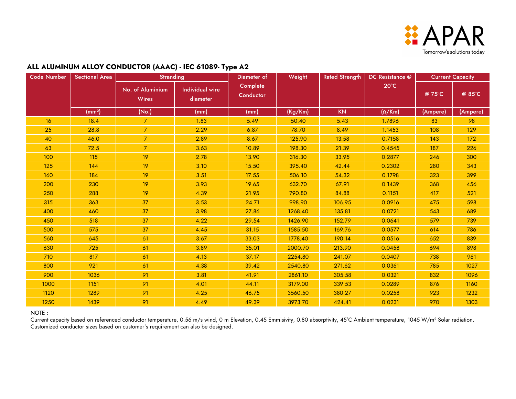

### **ALL ALUMINUM ALLOY CONDUCTOR (AAAC) - IEC 61089- Type A2**

| <b>Code Number</b> | <b>Sectional Area</b> | <b>Stranding</b>                 |                                    | Diameter of           | Weight  | <b>Rated Strength</b> | DC Resistance @ | <b>Current Capacity</b> |          |
|--------------------|-----------------------|----------------------------------|------------------------------------|-----------------------|---------|-----------------------|-----------------|-------------------------|----------|
|                    |                       | No. of Aluminium<br><b>Wires</b> | <b>Individual wire</b><br>diameter | Complete<br>Conductor |         |                       | $20^{\circ}$ C  | @ 75°C                  | @ 85°C   |
|                    | (mm <sup>2</sup> )    | (No.)                            | (mm)                               | (mm)                  | (Kg/Km) | <b>KN</b>             | $(\Omega/Km)$   | (Ampere)                | (Ampere) |
| <b>16</b>          | 18.4                  | $\overline{7}$                   | 1.83                               | 5.49                  | 50.40   | 5.43                  | 1.7896          | 83                      | 98       |
| 25                 | 28.8                  | $\overline{7}$                   | 2.29                               | 6.87                  | 78.70   | 8.49                  | 1.1453          | 108                     | 129      |
| 40                 | 46.0                  | $\overline{7}$                   | 2.89                               | 8.67                  | 125.90  | 13.58                 | 0.7158          | 143                     | 172      |
| 63                 | 72.5                  | $\overline{7}$                   | 3.63                               | 10.89                 | 198.30  | 21.39                 | 0.4545          | 187                     | 226      |
| 100                | 115                   | 19                               | 2.78                               | 13.90                 | 316.30  | 33.95                 | 0.2877          | 246                     | 300      |
| 125                | 144                   | 19                               | 3.10                               | 15.50                 | 395.40  | 42.44                 | 0.2302          | 280                     | 343      |
| 160                | 184                   | 19                               | 3.51                               | 17.55                 | 506.10  | 54.32                 | 0.1798          | 323                     | 399      |
| 200                | 230                   | 19                               | 3.93                               | 19.65                 | 632.70  | 67.91                 | 0.1439          | 368                     | 456      |
| 250                | 288                   | 19                               | 4.39                               | 21.95                 | 790.80  | 84.88                 | 0.1151          | 417                     | 521      |
| 315                | 363                   | 37                               | 3.53                               | 24.71                 | 998.90  | 106.95                | 0.0916          | 475                     | 598      |
| 400                | 460                   | 37                               | 3.98                               | 27.86                 | 1268.40 | 135.81                | 0.0721          | 543                     | 689      |
| 450                | 518                   | 37                               | 4.22                               | 29.54                 | 1426.90 | 152.79                | 0.0641          | 579                     | 739      |
| 500                | 575                   | 37                               | 4.45                               | 31.15                 | 1585.50 | 169.76                | 0.0577          | 614                     | 786      |
| 560                | 645                   | 61                               | 3.67                               | 33.03                 | 1778.40 | 190.14                | 0.0516          | 652                     | 839      |
| 630                | 725                   | 61                               | 3.89                               | 35.01                 | 2000.70 | 213.90                | 0.0458          | 694                     | 898      |
| 710                | 817                   | 61                               | 4.13                               | 37.17                 | 2254.80 | 241.07                | 0.0407          | 738                     | 961      |
| 800                | 921                   | 61                               | 4.38                               | 39.42                 | 2540.80 | 271.62                | 0.0361          | 785                     | 1027     |
| 900                | 1036                  | 91                               | 3.81                               | 41.91                 | 2861.10 | 305.58                | 0.0321          | 832                     | 1096     |
| 1000               | 1151                  | 91                               | 4.01                               | 44.11                 | 3179.00 | 339.53                | 0.0289          | 876                     | 1160     |
| 1120               | 1289                  | 91                               | 4.25                               | 46.75                 | 3560.50 | 380.27                | 0.0258          | 923                     | 1232     |
| 1250               | 1439                  | 91                               | 4.49                               | 49.39                 | 3973.70 | 424.41                | 0.0231          | 970                     | 1303     |

#### NOTE :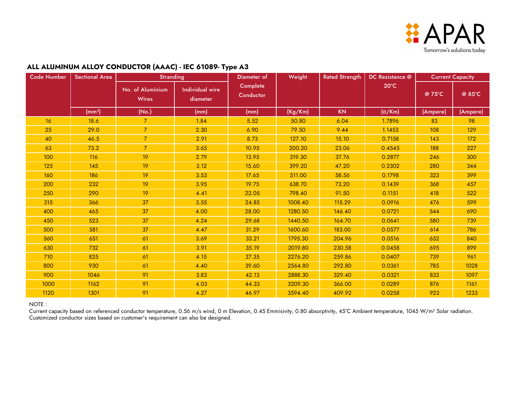

### **ALL ALUMINUM ALLOY CONDUCTOR (AAAC) - IEC 61089- Type A3**

| <b>Code Number</b> | <b>Sectional Area</b> | <b>Stranding</b>                 |                                    | Diameter of           | Weight  | <b>Rated Strength</b> | DC Resistance @ |          | <b>Current Capacity</b> |
|--------------------|-----------------------|----------------------------------|------------------------------------|-----------------------|---------|-----------------------|-----------------|----------|-------------------------|
|                    |                       | No. of Aluminium<br><b>Wires</b> | <b>Individual wire</b><br>diameter | Complete<br>Conductor |         |                       | $20^{\circ}$ C  | @ 75°C   | @ 85°C                  |
|                    | (mm <sup>2</sup> )    | (No.)                            | (mm)                               | (mm)                  | (Kg/Km) | <b>KN</b>             | $(\Omega/Km)$   | (Ampere) | (Ampere)                |
| <b>16</b>          | 18.6                  | 7                                | 1.84                               | 5.52                  | 50.80   | 6.04                  | 1.7896          | 83       | 98                      |
| 25                 | 29.0                  | $\overline{7}$                   | 2.30                               | 6.90                  | 79.50   | 9.44                  | 1.1453          | 108      | 129                     |
| 40                 | 46.5                  | $\overline{7}$                   | 2.91                               | 8.73                  | 127.10  | 15.10                 | 0.7158          | 143      | 172                     |
| 63                 | 73.2                  | $\overline{7}$                   | 3.65                               | 10.95                 | 200.20  | 23.06                 | 0.4545          | 188      | 227                     |
| 100                | 116                   | 19                               | 2.79                               | 13.95                 | 319.30  | 37.76                 | 0.2877          | 246      | 300                     |
| 125                | 145                   | 19                               | 3.12                               | 15.60                 | 399.20  | 47.20                 | 0.2302          | 280      | 344                     |
| 160                | 186                   | 19                               | 3.53                               | 17.65                 | 511.00  | 58.56                 | 0.1798          | 323      | 399                     |
| 200                | 232                   | 19                               | 3.95                               | 19.75                 | 638.70  | 73.20                 | 0.1439          | 368      | 457                     |
| 250                | 290                   | 19                               | 4.41                               | 22.05                 | 798.40  | 91.50                 | 0.1151          | 418      | 522                     |
| 315                | 366                   | 37                               | 3.55                               | 24.85                 | 1008.40 | 115.29                | 0.0916          | 476      | 599                     |
| 400                | 465                   | 37                               | 4.00                               | 28.00                 | 1280.50 | 146.40                | 0.0721          | 544      | 690                     |
| 450                | 523                   | 37                               | 4.24                               | 29.68                 | 1440.50 | 164.70                | 0.0641          | 580      | 739                     |
| 500                | 581                   | 37                               | 4.47                               | 31.29                 | 1600.60 | 183.00                | 0.0577          | 614      | 786                     |
| 560                | 651                   | 61                               | 3.69                               | 33.21                 | 1795.30 | 204.96                | 0.0516          | 652      | 840                     |
| 630                | 732                   | 61                               | 3.91                               | 35.19                 | 2019.80 | 230.58                | 0.0458          | 695      | 899                     |
| 710                | 825                   | 61                               | 4.15                               | 37.35                 | 2276.20 | 259.86                | 0.0407          | 739      | 961                     |
| 800                | 930                   | 61                               | 4.40                               | 39.60                 | 2564.80 | 292.80                | 0.0361          | 785      | 1028                    |
| 900                | 1046                  | 91                               | 3.83                               | 42.13                 | 2888.30 | 329.40                | 0.0321          | 833      | 1097                    |
| 1000               | 1162                  | 91                               | 4.03                               | 44.33                 | 3209.30 | 366.00                | 0.0289          | 876      | 1161                    |
| 1120               | 1301                  | 91                               | 4.27                               | 46.97                 | 3594.40 | 409.92                | 0.0258          | 923      | 1233                    |

NOTE :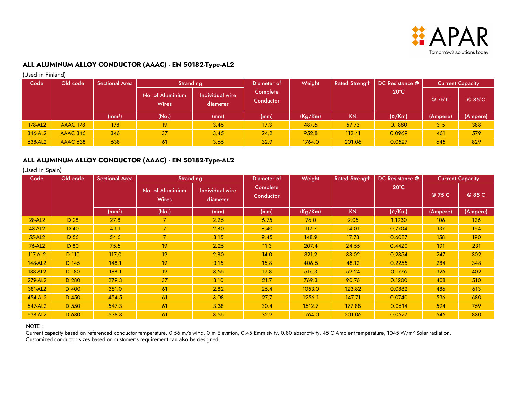

(Used in Finland)

| Code    | Old code        | <b>Sectional Area</b> | <b>Stranding</b>                 |                             | Diameter of           | Weight  |           | Rated Strength   DC Resistance @ | <b>Current Capacity</b> |          |
|---------|-----------------|-----------------------|----------------------------------|-----------------------------|-----------------------|---------|-----------|----------------------------------|-------------------------|----------|
|         |                 |                       | No. of Aluminium<br><b>Wires</b> | Individual wire<br>diameter | Complete<br>Conductor |         |           | $20^{\circ}$ C                   | @ 75°C                  | @ 85°C   |
|         |                 | (mm <sup>2</sup> )    | (No.)                            | (mm)                        | (mm)                  | (Kg/Km) | <b>KN</b> | $(\Omega/Km)$                    | (Ampere)                | (Ampere) |
| 178-AL2 | <b>AAAC 178</b> | 178                   | 19                               | 3.45                        | 17.3                  | 487.6   | 57.73     | 0.1880                           | 315                     | 388      |
| 346-AL2 | <b>AAAC 346</b> | 346                   | 37                               | 3.45                        | 24.2                  | 952.8   | 112.41    | 0.0969                           | 461                     | 579      |
| 638-AL2 | <b>AAAC 638</b> | 638                   | 61                               | 3.65                        | 32.9                  | 1764.0  | 201.06    | 0.0527                           | 645                     | 829      |

### **ALL ALUMINUM ALLOY CONDUCTOR (AAAC) - EN 50182-Type-AL2**

(Used in Spain)

| Code    | Old code | <b>Sectional Area</b> | <b>Stranding</b>                 |                                    | Diameter of           | Weight  | <b>Rated Strength</b> | DC Resistance @ |          | <b>Current Capacity</b> |
|---------|----------|-----------------------|----------------------------------|------------------------------------|-----------------------|---------|-----------------------|-----------------|----------|-------------------------|
|         |          |                       | No. of Aluminium<br><b>Wires</b> | <b>Individual wire</b><br>diameter | Complete<br>Conductor |         |                       | $20^{\circ}$ C  | @ 75°C   | @ 85°C                  |
|         |          | (mm <sup>2</sup> )    | (No.)                            | (mm)                               | (mm)                  | (Kg/Km) | <b>KN</b>             | $(\Omega/Km)$   | (Ampere) | (Ampere)                |
| 28-AL2  | D 28     | 27.8                  | $\overline{7}$                   | 2.25                               | 6.75                  | 76.0    | 9.05                  | 1.1930          | 106      | 126                     |
| 43-AL2  | D 40     | 43.1                  | $\overline{7}$                   | 2.80                               | 8.40                  | 117.7   | 14.01                 | 0.7704          | 137      | 164                     |
| 55-AL2  | D 56     | 54.6                  | $\overline{7}$                   | 3.15                               | 9.45                  | 148.9   | 17.73                 | 0.6087          | 158      | 190                     |
| 76-AL2  | D 80     | 75.5                  | 19                               | 2.25                               | 11.3                  | 207.4   | 24.55                 | 0.4420          | 191      | 231                     |
| 117-AL2 | D 110    | 117.0                 | 19                               | 2.80                               | 14.0                  | 321.2   | 38.02                 | 0.2854          | 247      | 302                     |
| 148-AL2 | D 145    | 148.1                 | 19                               | 3.15                               | 15.8                  | 406.5   | 48.12                 | 0.2255          | 284      | 348                     |
| 188-AL2 | D 180    | 188.1                 | 19                               | 3.55                               | 17.8                  | 516.3   | 59.24                 | 0.1776          | 326      | 402                     |
| 279-AL2 | D 280    | 279.3                 | 37                               | 3.10                               | 21.7                  | 769.3   | 90.76                 | 0.1200          | 408      | 510                     |
| 381-AL2 | D 400    | 381.0                 | 61                               | 2.82                               | 25.4                  | 1053.0  | 123.82                | 0.0882          | 486      | 613                     |
| 454-AL2 | D 450    | 454.5                 | 61                               | 3.08                               | 27.7                  | 1256.1  | 147.71                | 0.0740          | 536      | 680                     |
| 547-AL2 | D 550    | 547.3                 | 61                               | 3.38                               | 30.4                  | 1512.7  | 177.88                | 0.0614          | 594      | 759                     |
| 638-AL2 | D 630    | 638.3                 | 61                               | 3.65                               | 32.9                  | 1764.0  | 201.06                | 0.0527          | 645      | 830                     |

NOTE :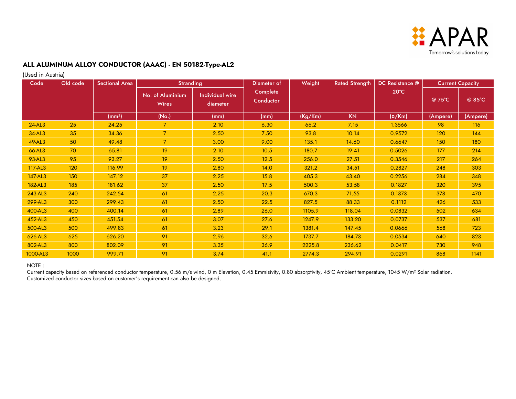

(Used in Austria)

| Code     | Old code | <b>Sectional Area</b> | <b>Stranding</b>                 |                                    | Diameter of           | Weight  | <b>Rated Strength</b> | DC Resistance @ | <b>Current Capacity</b> |          |
|----------|----------|-----------------------|----------------------------------|------------------------------------|-----------------------|---------|-----------------------|-----------------|-------------------------|----------|
|          |          |                       | No. of Aluminium<br><b>Wires</b> | <b>Individual wire</b><br>diameter | Complete<br>Conductor |         |                       | $20^{\circ}$ C  | @ 75°C                  | @ 85°C   |
|          |          | (mm <sup>2</sup> )    | (No.)                            | (mm)                               | (mm)                  | (Kg/Km) | <b>KN</b>             | $(\Omega/Km)$   | (Ampere)                | (Ampere) |
| 24-AL3   | 25       | 24.25                 |                                  | 2.10                               | 6.30                  | 66.2    | 7.15                  | 1.3566          | 98                      | 116      |
| 34-AL3   | 35       | 34.36                 | $\overline{7}$                   | 2.50                               | 7.50                  | 93.8    | 10.14                 | 0.9572          | 120                     | 144      |
| 49-AL3   | 50       | 49.48                 | $\overline{7}$                   | 3.00                               | 9.00                  | 135.1   | 14.60                 | 0.6647          | 150                     | 180      |
| 66-AL3   | 70       | 65.81                 | 19                               | 2.10                               | 10.5                  | 180.7   | 19.41                 | 0.5026          | 177                     | 214      |
| 93-AL3   | 95       | 93.27                 | 19                               | 2.50                               | 12.5                  | 256.0   | 27.51                 | 0.3546          | 217                     | 264      |
| 117-AL3  | 120      | 116.99                | 19                               | 2.80                               | 14.0                  | 321.2   | 34.51                 | 0.2827          | 248                     | 303      |
| 147-AL3  | 150      | 147.12                | 37                               | 2.25                               | 15.8                  | 405.3   | 43.40                 | 0.2256          | 284                     | 348      |
| 182-AL3  | 185      | 181.62                | 37                               | 2.50                               | 17.5                  | 500.3   | 53.58                 | 0.1827          | 320                     | 395      |
| 243-AL3  | 240      | 242.54                | 61                               | 2.25                               | 20.3                  | 670.3   | 71.55                 | 0.1373          | 378                     | 470      |
| 299-AL3  | 300      | 299.43                | 61                               | 2.50                               | 22.5                  | 827.5   | 88.33                 | 0.1112          | 426                     | 533      |
| 400-AL3  | 400      | 400.14                | 61                               | 2.89                               | 26.0                  | 1105.9  | 118.04                | 0.0832          | 502                     | 634      |
| 452-AL3  | 450      | 451.54                | 61                               | 3.07                               | 27.6                  | 1247.9  | 133.20                | 0.0737          | 537                     | 681      |
| 500-AL3  | 500      | 499.83                | 61                               | 3.23                               | 29.1                  | 1381.4  | 147.45                | 0.0666          | 568                     | 723      |
| 626-AL3  | 625      | 626.20                | 91                               | 2.96                               | 32.6                  | 1737.7  | 184.73                | 0.0534          | 640                     | 823      |
| 802-AL3  | 800      | 802.09                | 91                               | 3.35                               | 36.9                  | 2225.8  | 236.62                | 0.0417          | 730                     | 948      |
| 1000-AL3 | 1000     | 999.71                | 91                               | 3.74                               | 41.1                  | 2774.3  | 294.91                | 0.0291          | 868                     | 1141     |

#### NOTE :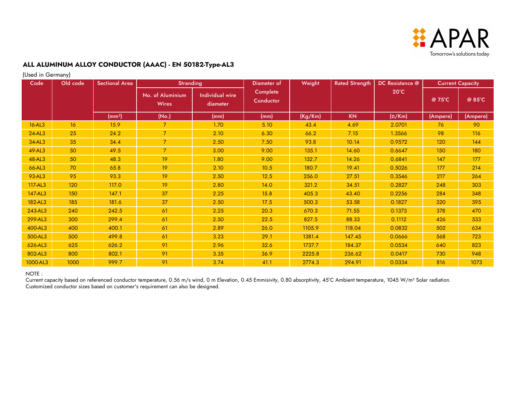

(Used in Germany)

| Code     | ,,<br>Old code  | <b>Sectional Area</b> | <b>Stranding</b>                 |                                    | Diameter of           | Weight  | <b>Rated Strength</b> | DC Resistance @ | <b>Current Capacity</b> |          |
|----------|-----------------|-----------------------|----------------------------------|------------------------------------|-----------------------|---------|-----------------------|-----------------|-------------------------|----------|
|          |                 |                       | No. of Aluminium<br><b>Wires</b> | <b>Individual wire</b><br>diameter | Complete<br>Conductor |         |                       | $20^{\circ}$ C  | $@75^{\circ}C$          | @ 85°C   |
|          |                 | (mm <sup>2</sup> )    | (No.)                            | (mm)                               | (mm)                  | (Kg/Km) | <b>KN</b>             | $(\Omega/Km)$   | (Ampere)                | (Ampere) |
| 16-AL3   | 16              | 15.9                  | $\overline{7}$                   | 1.70                               | 5.10                  | 43.4    | 4.69                  | 2.0701          | 76                      | 90       |
| 24-AL3   | 25              | 24.2                  | $\overline{7}$                   | 2.10                               | 6.30                  | 66.2    | 7.15                  | 1.3566          | 98                      | 116      |
| 34-AL3   | 35 <sub>2</sub> | 34.4                  | $\overline{7}$                   | 2.50                               | 7.50                  | 93.8    | 10.14                 | 0.9572          | 120                     | 144      |
| 49-AL3   | 50              | 49.5                  | $\overline{7}$                   | 3.00                               | 9.00                  | 135.1   | 14.60                 | 0.6647          | 150                     | 180      |
| 48-AL3   | 50              | 48.3                  | 19                               | 1.80                               | 9.00                  | 132.7   | 14.26                 | 0.6841          | 147                     | 177      |
| 66-AL3   | 70              | 65.8                  | 19                               | 2.10                               | 10.5                  | 180.7   | 19.41                 | 0.5026          | 177                     | 214      |
| 93-AL3   | 95              | 93.3                  | 19                               | 2.50                               | 12.5                  | 256.0   | 27.51                 | 0.3546          | 217                     | 264      |
| 117-AL3  | 120             | 117.0                 | 19                               | 2.80                               | 14.0                  | 321.2   | 34.51                 | 0.2827          | 248                     | 303      |
| 147-AL3  | 150             | 147.1                 | 37                               | 2.25                               | 15.8                  | 405.3   | 43.40                 | 0.2256          | 284                     | 348      |
| 182-AL3  | 185             | 181.6                 | 37                               | 2.50                               | 17.5                  | 500.3   | 53.58                 | 0.1827          | 320                     | 395      |
| 243-AL3  | 240             | 242.5                 | 61                               | 2.25                               | 20.3                  | 670.3   | 71.55                 | 0.1373          | 378                     | 470      |
| 299-AL3  | 300             | 299.4                 | 61                               | 2.50                               | 22.5                  | 827.5   | 88.33                 | 0.1112          | 426                     | 533      |
| 400-AL3  | 400             | 400.1                 | 61                               | 2.89                               | 26.0                  | 1105.9  | 118.04                | 0.0832          | 502                     | 634      |
| 500-AL3  | 500             | 499.8                 | 61                               | 3.23                               | 29.1                  | 1381.4  | 147.45                | 0.0666          | 568                     | 723      |
| 626-AL3  | 625             | 626.2                 | 91                               | 2.96                               | 32.6                  | 1737.7  | 184.37                | 0.0534          | 640                     | 823      |
| 802-AL3  | 800             | 802.1                 | 91                               | 3.35                               | 36.9                  | 2225.8  | 236.62                | 0.0417          | 730                     | 948      |
| 1000-AL3 | 1000            | 999.7                 | 91                               | 3.74                               | 41.1                  | 2774.3  | 294.91                | 0.0334          | 816                     | 1073     |

#### NOTE :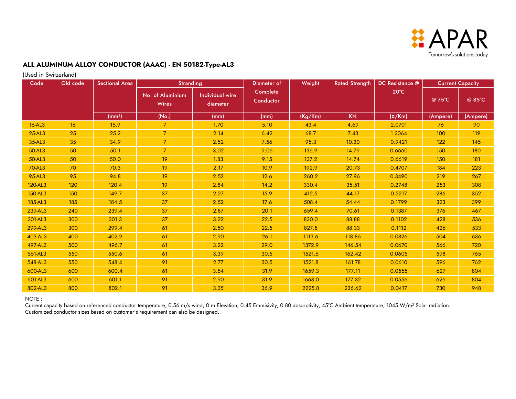

(Used in Switzerland)

| Code    | Old code | <b>Sectional Area</b> | <b>Stranding</b>                 |                                    | Diameter of                  | Weight  | <b>Rated Strength</b> | DC Resistance @ | <b>Current Capacity</b> |          |
|---------|----------|-----------------------|----------------------------------|------------------------------------|------------------------------|---------|-----------------------|-----------------|-------------------------|----------|
|         |          |                       | No. of Aluminium<br><b>Wires</b> | <b>Individual wire</b><br>diameter | <b>Complete</b><br>Conductor |         |                       | $20^{\circ}$ C  | @ 75°C                  | @ 85°C   |
|         |          | (mm <sup>2</sup> )    | (No.)                            | (mm)                               | (mm)                         | (Kg/Km) | <b>KN</b>             | $(\Omega/Km)$   | (Ampere)                | (Ampere) |
| 16-AL3  | 16       | 15.9                  | $\overline{7}$                   | 1.70                               | 5.10                         | 43.4    | 4.69                  | 2.0701          | 76                      | 90       |
| 25-AL3  | 25       | 25.2                  | $\overline{7}$                   | 2.14                               | 6.42                         | 68.7    | 7.43                  | 1.3064          | 100                     | 119      |
| 35-AL3  | 35       | 34.9                  | $\overline{7}$                   | 2.52                               | 7.56                         | 95.3    | 10.30                 | 0.9421          | 122                     | 145      |
| 50-AL3  | 50       | 50.1                  | $\overline{7}$                   | 3.02                               | 9.06                         | 136.9   | 14.79                 | 0.6660          | 150                     | 180      |
| 50-AL3  | 50       | 50.0                  | 19                               | 1.83                               | 9.15                         | 137.2   | 14.74                 | 0.6619          | 150                     | 181      |
| 70-AL3  | 70       | 70.3                  | 19                               | 2.17                               | 10.9                         | 192.9   | 20.73                 | 0.4707          | 184                     | 223      |
| 95-AL3  | 95       | 94.8                  | 19                               | 2.52                               | 12.6                         | 260.2   | 27.96                 | 0.3490          | 219                     | 267      |
| 120-AL3 | 120      | 120.4                 | 19                               | 2.84                               | 14.2                         | 330.4   | 35.51                 | 0.2748          | 253                     | 308      |
| 150-AL3 | 150      | 149.7                 | 37                               | 2.27                               | 15.9                         | 412.5   | 44.17                 | 0.2217          | 286                     | 352      |
| 185-AL3 | 185      | 184.5                 | 37                               | 2.52                               | 17.6                         | 508.4   | 54.44                 | 0.1799          | 323                     | 399      |
| 239-AL3 | 240      | 239.4                 | 37                               | 2.87                               | 20.1                         | 659.4   | 70.61                 | 0.1387          | 376                     | 467      |
| 301-AL3 | 300      | 301.3                 | 37                               | 3.22                               | 22.5                         | 830.0   | 88.88                 | 0.1102          | 428                     | 536      |
| 299-AL3 | 300      | 299.4                 | 61                               | 2.50                               | 22.5                         | 827.5   | 88.33                 | 0.1112          | 426                     | 533      |
| 403-AL3 | 400      | 402.9                 | 61                               | 2.90                               | 26.1                         | 1113.6  | 118.86                | 0.0826          | 504                     | 636      |
| 497-AL3 | 500      | 496.7                 | 61                               | 3.22                               | 29.0                         | 1372.9  | 146.54                | 0.0670          | 566                     | 720      |
| 551-AL3 | 550      | 550.6                 | 61                               | 3.39                               | 30.5                         | 1521.6  | 162.42                | 0.0605          | 598                     | 765      |
| 548-AL3 | 550      | 548.4                 | 91                               | 2.77                               | 30.5                         | 1521.8  | 161.78                | 0.0610          | 596                     | 762      |
| 600-AL3 | 600      | 600.4                 | 61                               | 3.54                               | 31.9                         | 1659.3  | 177.11                | 0.0555          | 627                     | 804      |
| 601-AL3 | 600      | 601.1                 | 91                               | 2.90                               | 31.9                         | 1668.0  | 177.32                | 0.0556          | 626                     | 804      |
| 802-AL3 | 800      | 802.1                 | 91                               | 3.35                               | 36.9                         | 2225.8  | 236.62                | 0.0417          | 730                     | 948      |

NOTE :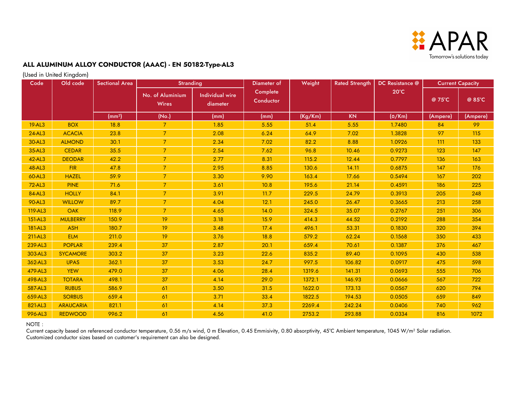

(Used in United Kingdom)

| Code    | Old code         | <b>Sectional Area</b> | <b>Stranding</b>                 |                                    | Diameter of           | Weight  | <b>Rated Strength</b> | DC Resistance @ | <b>Current Capacity</b> |          |
|---------|------------------|-----------------------|----------------------------------|------------------------------------|-----------------------|---------|-----------------------|-----------------|-------------------------|----------|
|         |                  |                       | No. of Aluminium<br><b>Wires</b> | <b>Individual wire</b><br>diameter | Complete<br>Conductor |         |                       | $20^{\circ}$ C  | @75°C                   | @ 85°C   |
|         |                  | (mm <sup>2</sup> )    | (No.)                            | (mm)                               | (mm)                  | (Kg/Km) | <b>KN</b>             | $(\Omega/Km)$   | (Ampere)                | (Ampere) |
| 19-AL3  | <b>BOX</b>       | 18.8                  | $\overline{7}$                   | 1.85                               | 5.55                  | 51.4    | 5.55                  | 1.7480          | 84                      | 99       |
| 24-AL3  | <b>ACACIA</b>    | 23.8                  | $\overline{7}$                   | 2.08                               | 6.24                  | 64.9    | 7.02                  | 1.3828          | 97                      | 115      |
| 30-AL3  | <b>ALMOND</b>    | 30.1                  | $\overline{7}$                   | 2.34                               | 7.02                  | 82.2    | 8.88                  | 1.0926          | 111                     | 133      |
| 35-AL3  | <b>CEDAR</b>     | 35.5                  | $\overline{7}$                   | 2.54                               | 7.62                  | 96.8    | 10.46                 | 0.9273          | 123                     | 147      |
| 42-AL3  | <b>DEODAR</b>    | 42.2                  | $\overline{7}$                   | 2.77                               | 8.31                  | 115.2   | 12.44                 | 0.7797          | 136                     | 163      |
| 48-AL3  | <b>FIR</b>       | 47.8                  | $\overline{7}$                   | 2.95                               | 8.85                  | 130.6   | 14.11                 | 0.6875          | 147                     | 176      |
| 60-AL3  | <b>HAZEL</b>     | 59.9                  | $\overline{7}$                   | 3.30                               | 9.90                  | 163.4   | 17.66                 | 0.5494          | 167                     | 202      |
| 72-AL3  | <b>PINE</b>      | 71.6                  | $\overline{7}$                   | 3.61                               | 10.8                  | 195.6   | 21.14                 | 0.4591          | 186                     | 225      |
| 84-AL3  | <b>HOLLY</b>     | 84.1                  | $\overline{7}$                   | 3.91                               | 11.7                  | 229.5   | 24.79                 | 0.3913          | 205                     | 248      |
| 90-AL3  | <b>WILLOW</b>    | 89.7                  | $\overline{7}$                   | 4.04                               | 12.1                  | 245.0   | 26.47                 | 0.3665          | 213                     | 258      |
| 119-AL3 | <b>OAK</b>       | 118.9                 | $\overline{7}$                   | 4.65                               | 14.0                  | 324.5   | 35.07                 | 0.2767          | 251                     | 306      |
| 151-AL3 | <b>MULBERRY</b>  | 150.9                 | 19                               | 3.18                               | 15.9                  | 414.3   | 44.52                 | 0.2192          | 288                     | 354      |
| 181-AL3 | <b>ASH</b>       | 180.7                 | 19                               | 3.48                               | 17.4                  | 496.1   | 53.31                 | 0.1830          | 320                     | 394      |
| 211-AL3 | <b>ELM</b>       | 211.0                 | 19                               | 3.76                               | 18.8                  | 579.2   | 62.24                 | 0.1568          | 350                     | 433      |
| 239-AL3 | <b>POPLAR</b>    | 239.4                 | 37                               | 2.87                               | 20.1                  | 659.4   | 70.61                 | 0.1387          | 376                     | 467      |
| 303-AL3 | <b>SYCAMORE</b>  | 303.2                 | 37                               | 3.23                               | 22.6                  | 835.2   | 89.40                 | 0.1095          | 430                     | 538      |
| 362-AL3 | <b>UPAS</b>      | 362.1                 | 37                               | 3.53                               | 24.7                  | 997.5   | 106.82                | 0.0917          | 475                     | 598      |
| 479-AL3 | <b>YEW</b>       | 479.0                 | 37                               | 4.06                               | 28.4                  | 1319.6  | 141.31                | 0.0693          | 555                     | 706      |
| 498-AL3 | <b>TOTARA</b>    | 498.1                 | 37                               | 4.14                               | 29.0                  | 1372.1  | 146.93                | 0.0666          | 567                     | 722      |
| 587-AL3 | <b>RUBUS</b>     | 586.9                 | 61                               | 3.50                               | 31.5                  | 1622.0  | 173.13                | 0.0567          | 620                     | 794      |
| 659-AL3 | <b>SORBUS</b>    | 659.4                 | 61                               | 3.71                               | 33.4                  | 1822.5  | 194.53                | 0.0505          | 659                     | 849      |
| 821-AL3 | <b>ARAUCARIA</b> | 821.1                 | 61                               | 4.14                               | 37.3                  | 2269.4  | 242.24                | 0.0406          | 740                     | 962      |
| 996-AL3 | <b>REDWOOD</b>   | 996.2                 | 61                               | 4.56                               | 41.0                  | 2753.2  | 293.88                | 0.0334          | 816                     | 1072     |

#### NOTE :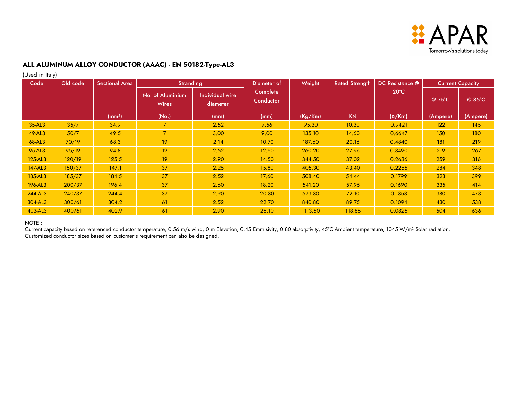

(Used in Italy)

| Code    | ,,,<br>Old code | <b>Sectional Area</b> | <b>Stranding</b>                 |                                    | Diameter of           | Weight  | <b>Rated Strength</b> | DC Resistance @ |          | <b>Current Capacity</b> |
|---------|-----------------|-----------------------|----------------------------------|------------------------------------|-----------------------|---------|-----------------------|-----------------|----------|-------------------------|
|         |                 |                       | No. of Aluminium<br><b>Wires</b> | <b>Individual wire</b><br>diameter | Complete<br>Conductor |         |                       | $20^{\circ}$ C  | @ 75°C   | @ 85°C                  |
|         |                 | (mm <sup>2</sup> )    | (No.)                            | (mm)                               | (mm)                  | (Kg/Km) | <b>KN</b>             | $(\Omega/Km)$   | (Ampere) | (Ampere)                |
| 35-AL3  | 35/7            | 34.9                  |                                  | 2.52                               | 7.56                  | 95.30   | 10.30                 | 0.9421          | 122      | 145                     |
| 49-AL3  | 50/7            | 49.5                  | $\overline{7}$                   | 3.00                               | 9.00                  | 135.10  | 14.60                 | 0.6647          | 150      | 180                     |
| 68-AL3  | 70/19           | 68.3                  | 19                               | 2.14                               | 10.70                 | 187.60  | 20.16                 | 0.4840          | 181      | 219                     |
| 95-AL3  | 95/19           | 94.8                  | 19                               | 2.52                               | 12.60                 | 260.20  | 27.96                 | 0.3490          | 219      | 267                     |
| 125-AL3 | 120/19          | 125.5                 | 19                               | 2.90                               | 14.50                 | 344.50  | 37.02                 | 0.2636          | 259      | 316                     |
| 147-AL3 | 150/37          | 147.1                 | 37                               | 2.25                               | 15.80                 | 405.30  | 43.40                 | 0.2256          | 284      | 348                     |
| 185-AL3 | 185/37          | 184.5                 | 37                               | 2.52                               | 17.60                 | 508.40  | 54.44                 | 0.1799          | 323      | 399                     |
| 196-AL3 | 200/37          | 196.4                 | 37                               | 2.60                               | 18.20                 | 541.20  | 57.95                 | 0.1690          | 335      | 414                     |
| 244-AL3 | 240/37          | 244.4                 | 37                               | 2.90                               | 20.30                 | 673.30  | 72.10                 | 0.1358          | 380      | 473                     |
| 304-AL3 | 300/61          | 304.2                 | 61                               | 2.52                               | 22.70                 | 840.80  | 89.75                 | 0.1094          | 430      | 538                     |
| 403-AL3 | 400/61          | 402.9                 | 61                               | 2.90                               | 26.10                 | 1113.60 | 118.86                | 0.0826          | 504      | 636                     |

#### NOTE :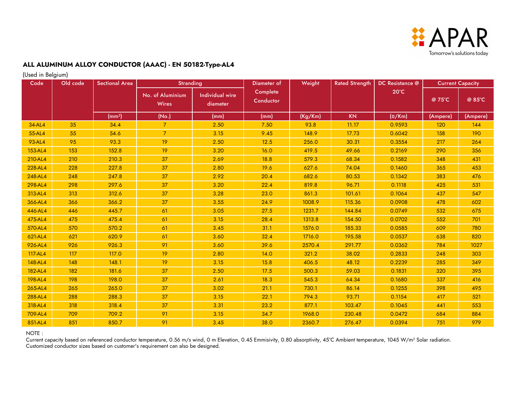

(Used in Belgium)

| Code    | Old code | <b>Sectional Area</b> | <b>Stranding</b>                 |                                    | Diameter of           | Weight  | <b>Rated Strength</b> | DC Resistance @ | <b>Current Capacity</b> |          |
|---------|----------|-----------------------|----------------------------------|------------------------------------|-----------------------|---------|-----------------------|-----------------|-------------------------|----------|
|         |          |                       | No. of Aluminium<br><b>Wires</b> | <b>Individual wire</b><br>diameter | Complete<br>Conductor |         |                       | $20^{\circ}$ C  | @ 75°C                  | @ 85°C   |
|         |          | (mm <sup>2</sup> )    | (No.)                            | (mm)                               | (mm)                  | (Kg/Km) | <b>KN</b>             | $(\Omega/Km)$   | (Ampere)                | (Ampere) |
| 34-AL4  | 35       | 34.4                  | $\overline{7}$                   | 2.50                               | 7.50                  | 93.8    | 11.17                 | 0.9593          | 120                     | 144      |
| 55-AL4  | 55       | 54.6                  | $\overline{7}$                   | 3.15                               | 9.45                  | 148.9   | 17.73                 | 0.6042          | 158                     | 190      |
| 93-AL4  | 95       | 93.3                  | 19                               | 2.50                               | 12.5                  | 256.0   | 30.31                 | 0.3554          | 217                     | 264      |
| 153-AL4 | 153      | 152.8                 | 19                               | 3.20                               | 16.0                  | 419.5   | 49.66                 | 0.2169          | 290                     | 356      |
| 210-AL4 | 210      | 210.3                 | 37                               | 2.69                               | 18.8                  | 579.3   | 68.34                 | 0.1582          | 348                     | 431      |
| 228-AL4 | 228      | 227.8                 | 37                               | 2.80                               | 19.6                  | 627.6   | 74.04                 | 0.1460          | 365                     | 453      |
| 248-AL4 | 248      | 247.8                 | 37                               | 2.92                               | 20.4                  | 682.6   | 80.53                 | 0.1342          | 383                     | 476      |
| 298-AL4 | 298      | 297.6                 | 37                               | 3.20                               | 22.4                  | 819.8   | 96.71                 | 0.1118          | 425                     | 531      |
| 313-AL4 | 313      | 312.6                 | 37                               | 3.28                               | 23.0                  | 861.3   | 101.61                | 0.1064          | 437                     | 547      |
| 366-AL4 | 366      | 366.2                 | 37                               | 3.55                               | 24.9                  | 1008.9  | 115.36                | 0.0908          | 478                     | 602      |
| 446-AL4 | 446      | 445.7                 | 61                               | 3.05                               | 27.5                  | 1231.7  | 144.84                | 0.0749          | 532                     | 675      |
| 475-AL4 | 475      | 475.4                 | 61                               | 3.15                               | 28.4                  | 1313.8  | 154.50                | 0.0702          | 552                     | 701      |
| 570-AL4 | 570      | 570.2                 | 61                               | 3.45                               | 31.1                  | 1576.0  | 185.33                | 0.0585          | 609                     | 780      |
| 621-AL4 | 621      | 620.9                 | 61                               | 3.60                               | 32.4                  | 1716.0  | 195.58                | 0.0537          | 638                     | 820      |
| 926-AL4 | 926      | 926.3                 | 91                               | 3.60                               | 39.6                  | 2570.4  | 291.77                | 0.0362          | 784                     | 1027     |
| 117-AL4 | 117      | 117.0                 | 19                               | 2.80                               | 14.0                  | 321.2   | 38.02                 | 0.2833          | 248                     | 303      |
| 148-AL4 | 148      | 148.1                 | 19                               | 3.15                               | 15.8                  | 406.5   | 48.12                 | 0.2239          | 285                     | 349      |
| 182-AL4 | 182      | 181.6                 | 37                               | 2.50                               | 17.5                  | 500.3   | 59.03                 | 0.1831          | 320                     | 395      |
| 198-AL4 | 198      | 198.0                 | 37                               | 2.61                               | 18.3                  | 545.3   | 64.34                 | 0.1680          | 337                     | 416      |
| 265-AL4 | 265      | 265.0                 | 37                               | 3.02                               | 21.1                  | 730.1   | 86.14                 | 0.1255          | 398                     | 495      |
| 288-AL4 | 288      | 288.3                 | 37                               | 3.15                               | 22.1                  | 794.3   | 93.71                 | 0.1154          | 417                     | 521      |
| 318-AL4 | 318      | 318.4                 | 37                               | 3.31                               | 23.2                  | 877.1   | 103.47                | 0.1045          | 441                     | 553      |
| 709-AL4 | 709      | 709.2                 | 91                               | 3.15                               | 34.7                  | 1968.0  | 230.48                | 0.0472          | 684                     | 884      |
| 851-AL4 | 851      | 850.7                 | 91                               | 3.45                               | 38.0                  | 2360.7  | 276.47                | 0.0394          | 751                     | 979      |

NOTE :